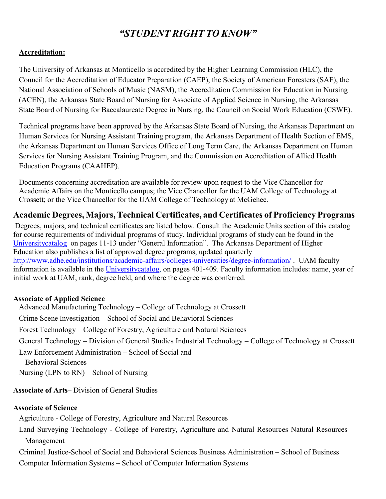## *"STUDENT RIGHT TO KNOW"*

#### **Accreditation:**

The University of Arkansas at Monticello is accredited by the Higher Learning Commission (HLC), the Council for the Accreditation of Educator Preparation (CAEP), the Society of American Foresters (SAF), the National Association of Schools of Music (NASM), the Accreditation Commission for Education in Nursing (ACEN), the Arkansas State Board of Nursing for Associate of Applied Science in Nursing, the Arkansas State Board of Nursing for Baccalaureate Degree in Nursing, the Council on Social Work Education (CSWE).

Technical programs have been approved by the Arkansas State Board of Nursing, the Arkansas Department on Human Services for Nursing Assistant Training program, the Arkansas Department of Health Section of EMS, the Arkansas Department on Human Services Office of Long Term Care, the Arkansas Department on Human Services for Nursing Assistant Training Program, and the Commission on Accreditation of Allied Health Education Programs (CAAHEP).

Documents concerning accreditation are available for review upon request to the Vice Chancellor for Academic Affairs on the Monticello campus; the Vice Chancellor for the UAM College of Technology at Crossett; or the Vice Chancellor for the UAM College of Technology at McGehee.

### **Academic Degrees, Majors, Technical Certificates, and Certificates of Proficiency Programs**

Degrees, majors, and technical certificates are listed below. Consult the Academic Units section of this catalog for course requirements of individual programs of study. Individual programs of study can be found in the [Universitycatalog](http://uam-web2.uamont.edu/pdfs/catalog/uam%20Catalog%2016-17.pdf) on pages 11-13 under "General Information". The Arkansas Department of Higher Education also publishes a list of approved degree programs, updated quarterly <http://www.adhe.edu/institutions/academic-affairs/colleges-universities/degree-information/> . UAM faculty information is available in the [Universitycatalog,](http://uam-web2.uamont.edu/pdfs/catalog/uam%20Catalog%2016-17.pdf) on pages 401-409. Faculty information includes: name, year of initial work at UAM, rank, degree held, and where the degree was conferred.

#### **Associate of Applied Science**

Advanced Manufacturing Technology – College of Technology at Crossett Crime Scene Investigation – School of Social and Behavioral Sciences Forest Technology – College of Forestry, Agriculture and Natural Sciences General Technology – Division of General Studies Industrial Technology – College of Technology at Crossett Law Enforcement Administration – School of Social and Behavioral Sciences Nursing (LPN to RN) – School of Nursing

**Associate of Arts**– Division of General Studies

#### **Associate of Science**

Agriculture - College of Forestry, Agriculture and Natural Resources

Land Surveying Technology - College of Forestry, Agriculture and Natural Resources Natural Resources Management

Criminal Justice-School of Social and Behavioral Sciences Business Administration – School of Business Computer Information Systems – School of Computer Information Systems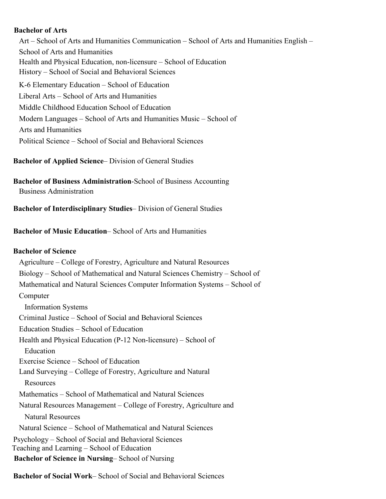#### **Bachelor of Arts**

Art – School of Arts and Humanities Communication – School of Arts and Humanities English – School of Arts and Humanities Health and Physical Education, non-licensure – School of Education History – School of Social and Behavioral Sciences K-6 Elementary Education – School of Education Liberal Arts – School of Arts and Humanities Middle Childhood Education School of Education Modern Languages – School of Arts and Humanities Music – School of Arts and Humanities Political Science – School of Social and Behavioral Sciences

**Bachelor of Applied Science**– Division of General Studies

**Bachelor of Business Administration**-School of Business Accounting Business Administration

**Bachelor of Interdisciplinary Studies**– Division of General Studies

**Bachelor of Music Education**– School of Arts and Humanities

#### **Bachelor of Science**

Agriculture – College of Forestry, Agriculture and Natural Resources Biology – School of Mathematical and Natural Sciences Chemistry – School of Mathematical and Natural Sciences Computer Information Systems – School of Computer Information Systems Criminal Justice – School of Social and Behavioral Sciences Education Studies – School of Education Health and Physical Education (P-12 Non-licensure) – School of Education Exercise Science – School of Education Land Surveying – College of Forestry, Agriculture and Natural Resources Mathematics – School of Mathematical and Natural Sciences Natural Resources Management – College of Forestry, Agriculture and Natural Resources Natural Science – School of Mathematical and Natural Sciences Psychology – School of Social and Behavioral Sciences Teaching and Learning – School of Education **Bachelor of Science in Nursing**– School of Nursing

**Bachelor of Social Work**– School of Social and Behavioral Sciences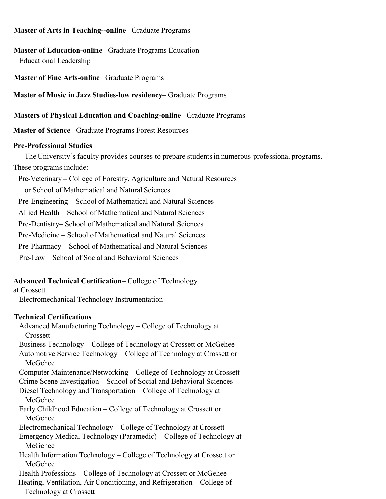#### **Master of Arts in Teaching--online**– Graduate Programs

**Master of Education-online**– Graduate Programs Education Educational Leadership

**Master of Fine Arts-online**– Graduate Programs

**Master of Music in Jazz Studies-low residency**– Graduate Programs

**Masters of Physical Education and Coaching-online**– Graduate Programs

**Master of Science**– Graduate Programs Forest Resources

#### **Pre-Professional Studies**

The University's faculty provides courses to prepare students in numerous professional programs. These programs include:

Pre-Veterinary **–** College of Forestry, Agriculture and Natural Resources

or School of Mathematical and Natural Sciences

Pre-Engineering – School of Mathematical and Natural Sciences

Allied Health – School of Mathematical and Natural Sciences

Pre-Dentistry– School of Mathematical and Natural Sciences

Pre-Medicine – School of Mathematical and Natural Sciences

Pre-Pharmacy – School of Mathematical and Natural Sciences

Pre-Law – School of Social and Behavioral Sciences

### **Advanced Technical Certification**– College of Technology

#### at Crossett

Electromechanical Technology Instrumentation

### **Technical Certifications**

Advanced Manufacturing Technology – College of Technology at Crossett Business Technology – College of Technology at Crossett or McGehee Automotive Service Technology – College of Technology at Crossett or McGehee Computer Maintenance/Networking – College of Technology at Crossett Crime Scene Investigation – School of Social and Behavioral Sciences Diesel Technology and Transportation – College of Technology at McGehee Early Childhood Education – College of Technology at Crossett or McGehee Electromechanical Technology – College of Technology at Crossett Emergency Medical Technology (Paramedic) – College of Technology at McGehee Health Information Technology – College of Technology at Crossett or McGehee Health Professions – College of Technology at Crossett or McGehee Heating, Ventilation, Air Conditioning, and Refrigeration – College of Technology at Crossett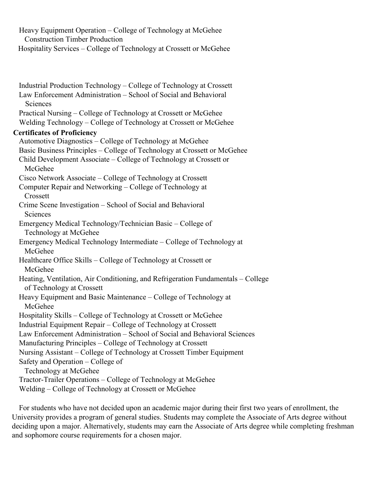Heavy Equipment Operation – College of Technology at McGehee Construction Timber Production

Hospitality Services – College of Technology at Crossett or McGehee

Industrial Production Technology – College of Technology at Crossett Law Enforcement Administration – School of Social and Behavioral **Sciences** Practical Nursing – College of Technology at Crossett or McGehee Welding Technology – College of Technology at Crossett or McGehee **Certificates of Proficiency** Automotive Diagnostics – College of Technology at McGehee Basic Business Principles – College of Technology at Crossett or McGehee Child Development Associate – College of Technology at Crossett or McGehee Cisco Network Associate – College of Technology at Crossett Computer Repair and Networking – College of Technology at Crossett Crime Scene Investigation – School of Social and Behavioral **Sciences** Emergency Medical Technology/Technician Basic – College of Technology at McGehee Emergency Medical Technology Intermediate – College of Technology at McGehee Healthcare Office Skills – College of Technology at Crossett or McGehee Heating, Ventilation, Air Conditioning, and Refrigeration Fundamentals – College of Technology at Crossett Heavy Equipment and Basic Maintenance – College of Technology at McGehee Hospitality Skills – College of Technology at Crossett or McGehee Industrial Equipment Repair – College of Technology at Crossett Law Enforcement Administration – School of Social and Behavioral Sciences Manufacturing Principles – College of Technology at Crossett Nursing Assistant – College of Technology at Crossett Timber Equipment Safety and Operation – College of Technology at McGehee Tractor-Trailer Operations – College of Technology at McGehee Welding – College of Technology at Crossett or McGehee

For students who have not decided upon an academic major during their first two years of enrollment, the University provides a program of general studies. Students may complete the Associate of Arts degree without deciding upon a major. Alternatively, students may earn the Associate of Arts degree while completing freshman and sophomore course requirements for a chosen major.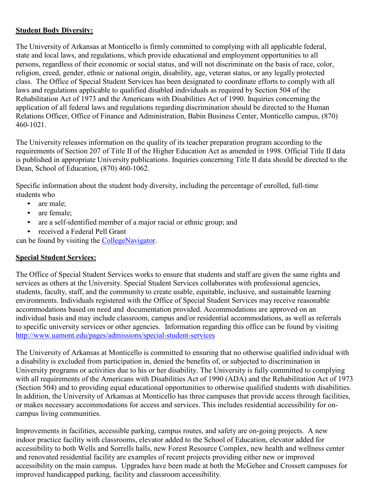#### **Student Body Diversity:**

The University of Arkansas at Monticello is firmly committed to complying with all applicable federal, state and local laws, and regulations, which provide educational and employment opportunities to all persons, regardless of their economic or social status, and will not discriminate on the basis of race, color, religion, creed, gender, ethnic or national origin, disability, age, veteran status, or any legally protected class. The Office of Special Student Services has been designated to coordinate efforts to comply with all laws and regulations applicable to qualified disabled individuals as required by Section 504 of the Rehabilitation Act of 1973 and the Americans with Disabilities Act of 1990. Inquiries concerning the application of all federal laws and regulations regarding discrimination should be directed to the Human Relations Officer, Office of Finance and Administration, Babin Business Center, Monticello campus, (870) 460-1021.

The University releases information on the quality of its teacher preparation program according to the requirements of Section 207 of Title II of the Higher Education Act as amended in 1998. Official Title II data is published in appropriate University publications. Inquiries concerning Title II data should be directed to the Dean, School of Education, (870) 460-1062.

Specific information about the student body diversity, including the percentage of enrolled, full-time students who

- are male:
- are female:
- are a self-identified member of a major racial or ethnic group; and
- received a Federal Pell Grant

can be found by visiting the [CollegeNavigator.](http://nces.ed.gov/collegenavigator/?s=AR&amp%3Bzc=71656&amp%3Bzd=0&amp%3Bof=3&amp%3Bid=106485&pg=6&id=106485)

#### **Special Student Services:**

The Office of Special Student Services works to ensure that students and staff are given the same rights and services as others at the University. Special Student Services collaborates with professional agencies, students, faculty, staff, and the community to create usable, equitable, inclusive, and sustainable learning environments. Individuals registered with the Office of Special Student Services may receive reasonable accommodations based on need and documentation provided. Accommodations are approved on an individual basis and may include classroom, campus and/or residential accommodations, as well as referrals to specific university services or other agencies. Information regarding this office can be found by visiting <http://www.uamont.edu/pages/admissions/special-student-services>

The University of Arkansas at Monticello is committed to ensuring that no otherwise qualified individual with a disability is excluded from participation in, denied the benefits of, or subjected to discrimination in University programs or activities due to his or her disability. The University is fully committed to complying with all requirements of the Americans with Disabilities Act of 1990 (ADA) and the Rehabilitation Act of 1973 (Section 504) and to providing equal educational opportunities to otherwise qualified students with disabilities. In addition, the University of Arkansas at Monticello has three campuses that provide access through facilities, or makes necessary accommodations for access and services. This includes residential accessibility for oncampus living communities.

Improvements in facilities, accessible parking, campus routes, and safety are on-going projects. A new indoor practice facility with classrooms, elevator added to the School of Education, elevator added for accessibility to both Wells and Sorrells halls, new Forest Resource Complex, new health and wellness center and renovated residential facility are examples of recent projects providing either new or improved accessibility on the main campus. Upgrades have been made at both the McGehee and Crossett campuses for improved handicapped parking, facility and classroom accessibility.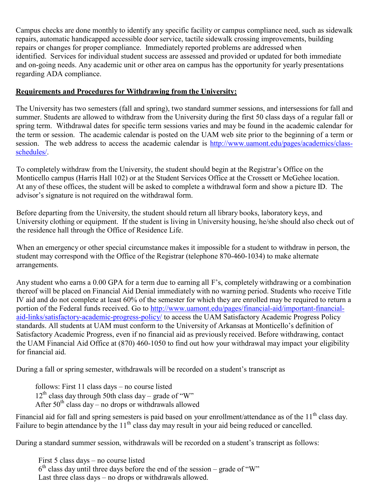Campus checks are done monthly to identify any specific facility or campus compliance need, such as sidewalk repairs, automatic handicapped accessible door service, tactile sidewalk crossing improvements, building repairs or changes for proper compliance. Immediately reported problems are addressed when identified. Services for individual student success are assessed and provided or updated for both immediate and on-going needs. Any academic unit or other area on campus has the opportunity for yearly presentations regarding ADA compliance.

#### **Requirements and Procedures for Withdrawing from the University:**

The University has two semesters (fall and spring), two standard summer sessions, and intersessions for fall and summer. Students are allowed to withdraw from the University during the first 50 class days of a regular fall or spring term. Withdrawal dates for specific term sessions varies and may be found in the academic calendar for the term or session. The academic calendar is posted on the UAM web site prior to the beginning of a term or session. The web address to access the academic calendar is [http://www.uamont.edu/pages/academics/class](http://www.uamont.edu/pages/academics/class-schedules/)[schedules/.](http://www.uamont.edu/pages/academics/class-schedules/)

To completely withdraw from the University, the student should begin at the Registrar's Office on the Monticello campus (Harris Hall 102) or at the Student Services Office at the Crossett or McGehee location. At any of these offices, the student will be asked to complete a withdrawal form and show a picture ID. The advisor's signature is not required on the withdrawal form.

Before departing from the University, the student should return all library books, laboratory keys, and University clothing or equipment. If the student is living in University housing, he/she should also check out of the residence hall through the Office of Residence Life.

When an emergency or other special circumstance makes it impossible for a student to withdraw in person, the student may correspond with the Office of the Registrar (telephone 870-460-1034) to make alternate arrangements.

Any student who earns a 0.00 GPA for a term due to earning all F's, completely withdrawing or a combination thereof will be placed on Financial Aid Denial immediately with no warning period. Students who receive Title IV aid and do not complete at least 60% of the semester for which they are enrolled may be required to return a portion of the Federal funds received. Go to [http://www.uamont.edu/pages/financial-aid/important-financial](http://www.uamont.edu/pages/financial-aid/important-financial-aid-links/satisfactory-academic-progress-policy/)[aid-links/satisfactory-academic-progress-policy/](http://www.uamont.edu/pages/financial-aid/important-financial-aid-links/satisfactory-academic-progress-policy/) to access the UAM Satisfactory Academic Progress Policy standards. All students at UAM must conform to the University of Arkansas at Monticello's definition of Satisfactory Academic Progress, even if no financial aid as previously received. Before withdrawing, contact the UAM Financial Aid Office at (870) 460-1050 to find out how your withdrawal may impact your eligibility for financial aid.

During a fall or spring semester, withdrawals will be recorded on a student's transcript as

follows: First 11 class days – no course listed  $12<sup>th</sup>$  class day through 50th class day – grade of "W" After  $50<sup>th</sup>$  class day – no drops or withdrawals allowed

Financial aid for fall and spring semesters is paid based on your enrollment/attendance as of the  $11<sup>th</sup>$  class day. Failure to begin attendance by the 11<sup>th</sup> class day may result in your aid being reduced or cancelled.

During a standard summer session, withdrawals will be recorded on a student's transcript as follows:

First 5 class days – no course listed  $6<sup>th</sup>$  class day until three days before the end of the session – grade of "W" Last three class days – no drops or withdrawals allowed.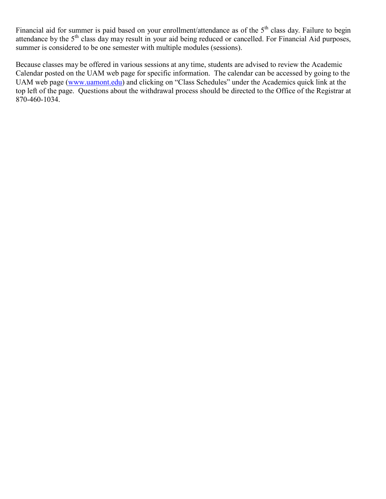Financial aid for summer is paid based on your enrollment/attendance as of the 5<sup>th</sup> class day. Failure to begin attendance by the 5<sup>th</sup> class day may result in your aid being reduced or cancelled. For Financial Aid purposes, summer is considered to be one semester with multiple modules (sessions).

Because classes may be offered in various sessions at any time, students are advised to review the Academic Calendar posted on the UAM web page for specific information. The calendar can be accessed by going to the UAM web page [\(www.uamont.edu\)](http://www.uamont.edu/) and clicking on "Class Schedules" under the Academics quick link at the top left of the page. Questions about the withdrawal process should be directed to the Office of the Registrar at 870-460-1034.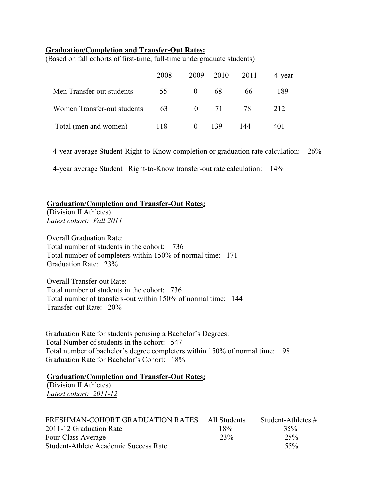#### **Graduation/Completion and Transfer-Out Rates:**

(Based on fall cohorts of first-time, full-time undergraduate students)

|                             | 2008 |                | 2009 2010 2011 |     | 4-year |
|-----------------------------|------|----------------|----------------|-----|--------|
| Men Transfer-out students   | 55   | $\mathbf{0}$   | 68             | 66. | 189    |
| Women Transfer-out students | -63  | $\overline{0}$ | 71             | -78 | 212    |
| Total (men and women)       | 118  | $\theta$       | 139            | 144 | 40 I   |

4-year average Student-Right-to-Know completion or graduation rate calculation: 26%

4-year average Student –Right-to-Know transfer-out rate calculation: 14%

#### **Graduation/Completion and Transfer-Out Rates:**

(Division II Athletes) *Latest cohort: Fall 2011*

Overall Graduation Rate: Total number of students in the cohort: 736 Total number of completers within 150% of normal time: 171 Graduation Rate: 23%

Overall Transfer-out Rate: Total number of students in the cohort: 736 Total number of transfers-out within 150% of normal time: 144 Transfer-out Rate: 20%

Graduation Rate for students perusing a Bachelor's Degrees: Total Number of students in the cohort: 547 Total number of bachelor's degree completers within 150% of normal time: 98 Graduation Rate for Bachelor's Cohort: 18%

#### **Graduation/Completion and Transfer-Out Rates:**

(Division II Athletes) *Latest cohort: 2011-12*

| FRESHMAN-COHORT GRADUATION RATES      | All Students | Student-Athletes $#$ |
|---------------------------------------|--------------|----------------------|
| 2011-12 Graduation Rate               | $18\%$       | 35%                  |
| Four-Class Average                    | 23%          | 25%                  |
| Student-Athlete Academic Success Rate |              | $55\%$               |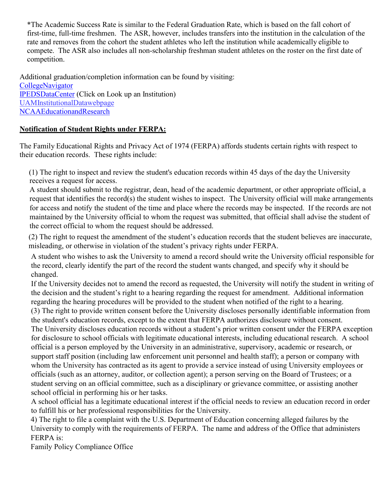\*The Academic Success Rate is similar to the Federal Graduation Rate, which is based on the fall cohort of first-time, full-time freshmen. The ASR, however, includes transfers into the institution in the calculation of the rate and removes from the cohort the student athletes who left the institution while academically eligible to compete. The ASR also includes all non-scholarship freshman student athletes on the roster on the first date of competition.

Additional graduation/completion information can be found by visiting: **[College Navigator](http://nces.ed.gov/collegenavigator/?s=AR&amp%3Bzc=71656&amp%3Bzd=0&amp%3Bof=3&amp%3Bid=106485&pg=6&id=106485)** [IPEDS Data Center \(](http://nces.ed.gov/ipeds/datacenter/)Click on Look up an Institution) UAM Institutional Dat[awebpage](http://www.uamont.edu/pages/about-uam/office-of-institutional-research/) NCAA Education and Research

#### **Notification of Student Rights under FERPA:**

The Family Educational Rights and Privacy Act of 1974 (FERPA) affords students certain rights with respect to their education records. These rights include:

(1) The right to inspect and review the student's education records within 45 days of the day the University receives a request for access.

A student should submit to the registrar, dean, head of the academic department, or other appropriate official, a request that identifies the record(s) the student wishes to inspect. The University official will make arrangements for access and notify the student of the time and place where the records may be inspected. If the records are not maintained by the University official to whom the request was submitted, that official shall advise the student of the correct official to whom the request should be addressed.

(2) The right to request the amendment of the student's education records that the student believes are inaccurate, misleading, or otherwise in violation of the student's privacy rights under FERPA.

A student who wishes to ask the University to amend a record should write the University official responsible for the record, clearly identify the part of the record the student wants changed, and specify why it should be changed.

If the University decides not to amend the record as requested, the University will notify the student in writing of the decision and the student's right to a hearing regarding the request for amendment. Additional information regarding the hearing procedures will be provided to the student when notified of the right to a hearing.

(3) The right to provide written consent before the University discloses personally identifiable information from the student's education records, except to the extent that FERPA authorizes disclosure without consent.

The University discloses education records without a student's prior written consent under the FERPA exception for disclosure to school officials with legitimate educational interests, including educational research. A school official is a person employed by the University in an administrative, supervisory, academic or research, or support staff position (including law enforcement unit personnel and health staff); a person or company with whom the University has contracted as its agent to provide a service instead of using University employees or officials (such as an attorney, auditor, or collection agent); a person serving on the Board of Trustees; or a student serving on an official committee, such as a disciplinary or grievance committee, or assisting another school official in performing his or her tasks.

A school official has a legitimate educational interest if the official needs to review an education record in order to fulfill his or her professional responsibilities for the University.

4) The right to file a complaint with the U.S. Department of Education concerning alleged failures by the University to comply with the requirements of FERPA. The name and address of the Office that administers FERPA is:

Family Policy Compliance Office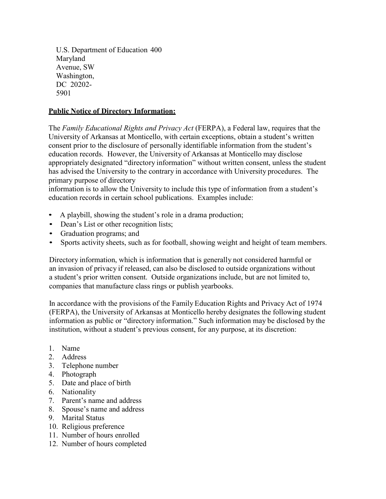U.S. Department of Education 400 Maryland Avenue, SW Washington, DC 20202- 5901

#### **Public Notice of Directory Information:**

The *Family Educational Rights and Privacy Act* (FERPA), a Federal law, requires that the University of Arkansas at Monticello, with certain exceptions, obtain a student's written consent prior to the disclosure of personally identifiable information from the student's education records. However, the University of Arkansas at Monticello may disclose appropriately designated "directory information" without written consent, unless the student has advised the University to the contrary in accordance with University procedures. The primary purpose of directory

information is to allow the University to include this type of information from a student's education records in certain school publications. Examples include:

- A playbill, showing the student's role in a drama production;
- Dean's List or other recognition lists;
- Graduation programs; and
- Sports activity sheets, such as for football, showing weight and height of team members.

Directory information, which is information that is generally not considered harmful or an invasion of privacy if released, can also be disclosed to outside organizations without a student's prior written consent. Outside organizations include, but are not limited to, companies that manufacture class rings or publish yearbooks.

In accordance with the provisions of the Family Education Rights and Privacy Act of 1974 (FERPA), the University of Arkansas at Monticello hereby designates the following student information as public or "directory information." Such information may be disclosed by the institution, without a student's previous consent, for any purpose, at its discretion:

- 1. Name
- 2. Address
- 3. Telephone number
- 4. Photograph
- 5. Date and place of birth
- 6. Nationality
- 7. Parent's name and address
- 8. Spouse's name and address
- 9. Marital Status
- 10. Religious preference
- 11. Number of hours enrolled
- 12. Number of hours completed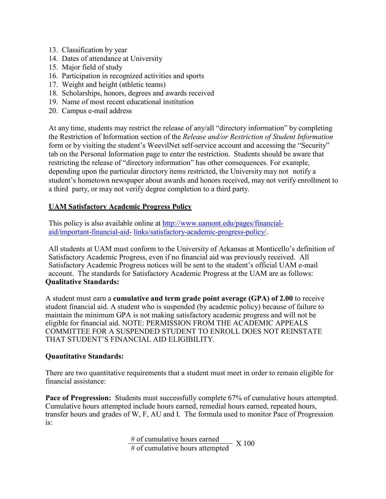- 13. Classification by year
- 14. Dates of attendance at University
- 15. Major field of study
- 16. Participation in recognized activities and sports
- 17. Weight and height (athletic teams)
- 18. Scholarships, honors, degrees and awards received
- 19. Name of most recent educational institution
- 20. Campus e-mail address

At any time, students may restrict the release of any/all "directory information" by completing the Restriction of Information section of the *Release and/or Restriction of Student Information* form or by visiting the student's WeevilNet self-service account and accessing the "Security" tab on the Personal Information page to enter the restriction. Students should be aware that restricting the release of "directory information" has other consequences. For example, depending upon the particular directory items restricted, the University may not notify a student's hometown newspaper about awards and honors received, may not verify enrollment to a third party, or may not verify degree completion to a third party.

#### **UAM Satisfactory Academic Progress Policy**

This policy is also available online at [http://www.uamont.edu/pages/financial](http://www.uamont.edu/pages/financial-aid/important-financial-aid-links/satisfactory-academic-progress-policy/)[aid/important-financial-aid-](http://www.uamont.edu/pages/financial-aid/important-financial-aid-links/satisfactory-academic-progress-policy/) [links/satisfactory-academic-progress-policy/.](http://www.uamont.edu/pages/financial-aid/important-financial-aid-links/satisfactory-academic-progress-policy/)

All students at UAM must conform to the University of Arkansas at Monticello's definition of Satisfactory Academic Progress, even if no financial aid was previously received. All Satisfactory Academic Progress notices will be sent to the student's official UAM e-mail account. The standards for Satisfactory Academic Progress at the UAM are as follows: **Qualitative Standards:**

A student must earn a **cumulative and term grade point average (GPA) of 2.00** to receive student financial aid. A student who is suspended (by academic policy) because of failure to maintain the minimum GPA is not making satisfactory academic progress and will not be eligible for financial aid. NOTE: PERMISSION FROM THE ACADEMIC APPEALS COMMITTEE FOR A SUSPENDED STUDENT TO ENROLL DOES NOT REINSTATE THAT STUDENT'S FINANCIAL AID ELIGIBILITY.

#### **Quantitative Standards:**

There are two quantitative requirements that a student must meet in order to remain eligible for financial assistance:

**Pace of Progression:** Students must successfully complete 67% of cumulative hours attempted. Cumulative hours attempted include hours earned, remedial hours earned, repeated hours, transfer hours and grades of W, F, AU and I. The formula used to monitor Pace of Progression is:

 $\frac{\text{# of cumulative hours earned}}{\text{# of cumulative hours attempted}}$  X 100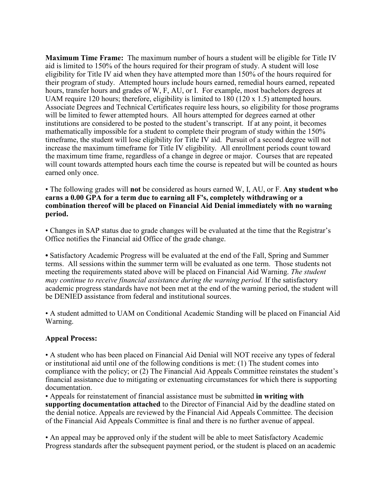**Maximum Time Frame:** The maximum number of hours a student will be eligible for Title IV aid is limited to 150% of the hours required for their program of study. A student will lose eligibility for Title IV aid when they have attempted more than 150% of the hours required for their program of study. Attempted hours include hours earned, remedial hours earned, repeated hours, transfer hours and grades of W, F, AU, or I. For example, most bachelors degrees at UAM require 120 hours; therefore, eligibility is limited to 180 (120 x 1.5) attempted hours. Associate Degrees and Technical Certificates require less hours, so eligibility for those programs will be limited to fewer attempted hours. All hours attempted for degrees earned at other institutions are considered to be posted to the student's transcript. If at any point, it becomes mathematically impossible for a student to complete their program of study within the 150% timeframe, the student will lose eligibility for Title IV aid. Pursuit of a second degree will not increase the maximum timeframe for Title IV eligibility. All enrollment periods count toward the maximum time frame, regardless of a change in degree or major. Courses that are repeated will count towards attempted hours each time the course is repeated but will be counted as hours earned only once.

• The following grades will **not** be considered as hours earned W, I, AU, or F. **Any student who earns a 0.00 GPA for a term due to earning all F's, completely withdrawing or a combination thereof will be placed on Financial Aid Denial immediately with no warning period.**

• Changes in SAP status due to grade changes will be evaluated at the time that the Registrar's Office notifies the Financial aid Office of the grade change.

**•** Satisfactory Academic Progress will be evaluated at the end of the Fall, Spring and Summer terms. All sessions within the summer term will be evaluated as one term. Those students not meeting the requirements stated above will be placed on Financial Aid Warning. *The student may continue to receive financial assistance during the warning period.* If the satisfactory academic progress standards have not been met at the end of the warning period, the student will be DENIED assistance from federal and institutional sources.

• A student admitted to UAM on Conditional Academic Standing will be placed on Financial Aid Warning.

#### **Appeal Process:**

• A student who has been placed on Financial Aid Denial will NOT receive any types of federal or institutional aid until one of the following conditions is met: (1) The student comes into compliance with the policy; or (2) The Financial Aid Appeals Committee reinstates the student's financial assistance due to mitigating or extenuating circumstances for which there is supporting documentation.

• Appeals for reinstatement of financial assistance must be submitted **in writing with supporting documentation attached** to the Director of Financial Aid by the deadline stated on the denial notice. Appeals are reviewed by the Financial Aid Appeals Committee. The decision of the Financial Aid Appeals Committee is final and there is no further avenue of appeal.

• An appeal may be approved only if the student will be able to meet Satisfactory Academic Progress standards after the subsequent payment period, or the student is placed on an academic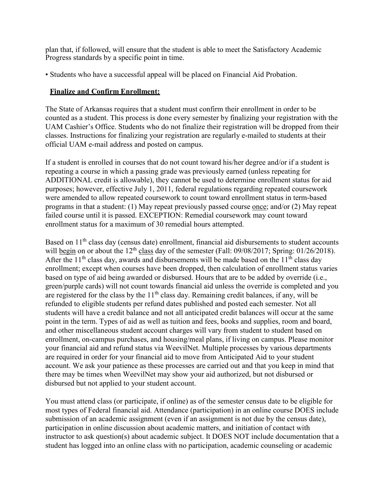plan that, if followed, will ensure that the student is able to meet the Satisfactory Academic Progress standards by a specific point in time.

• Students who have a successful appeal will be placed on Financial Aid Probation.

#### **Finalize and Confirm Enrollment:**

The State of Arkansas requires that a student must confirm their enrollment in order to be counted as a student. This process is done every semester by finalizing your registration with the UAM Cashier's Office. Students who do not finalize their registration will be dropped from their classes. Instructions for finalizing your registration are regularly e-mailed to students at their official UAM e-mail address and posted on campus.

If a student is enrolled in courses that do not count toward his/her degree and/or if a student is repeating a course in which a passing grade was previously earned (unless repeating for ADDITIONAL credit is allowable), they cannot be used to determine enrollment status for aid purposes; however, effective July 1, 2011, federal regulations regarding repeated coursework were amended to allow repeated coursework to count toward enrollment status in term-based programs in that a student: (1) May repeat previously passed course once; and/or (2) May repeat failed course until it is passed. EXCEPTION: Remedial coursework may count toward enrollment status for a maximum of 30 remedial hours attempted.

Based on  $11<sup>th</sup>$  class day (census date) enrollment, financial aid disbursements to student accounts will begin on or about the  $12^{th}$  class day of the semester (Fall:  $09/08/2017$ ; Spring: 01/26/2018). After the 11<sup>th</sup> class day, awards and disbursements will be made based on the  $11<sup>th</sup>$  class day enrollment; except when courses have been dropped, then calculation of enrollment status varies based on type of aid being awarded or disbursed. Hours that are to be added by override (i.e., green/purple cards) will not count towards financial aid unless the override is completed and you are registered for the class by the  $11<sup>th</sup>$  class day. Remaining credit balances, if any, will be refunded to eligible students per refund dates published and posted each semester. Not all students will have a credit balance and not all anticipated credit balances will occur at the same point in the term. Types of aid as well as tuition and fees, books and supplies, room and board, and other miscellaneous student account charges will vary from student to student based on enrollment, on-campus purchases, and housing/meal plans, if living on campus. Please monitor your financial aid and refund status via WeevilNet. Multiple processes by various departments are required in order for your financial aid to move from Anticipated Aid to your student account. We ask your patience as these processes are carried out and that you keep in mind that there may be times when WeevilNet may show your aid authorized, but not disbursed or disbursed but not applied to your student account.

You must attend class (or participate, if online) as of the semester census date to be eligible for most types of Federal financial aid. Attendance (participation) in an online course DOES include submission of an academic assignment (even if an assignment is not due by the census date), participation in online discussion about academic matters, and initiation of contact with instructor to ask question(s) about academic subject. It DOES NOT include documentation that a student has logged into an online class with no participation, academic counseling or academic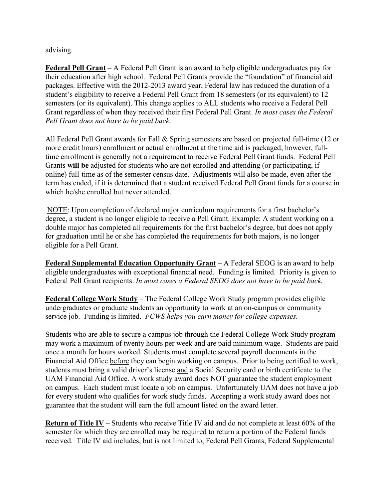advising.

**Federal Pell Grant** – A Federal Pell Grant is an award to help eligible undergraduates pay for their education after high school. Federal Pell Grants provide the "foundation" of financial aid packages. Effective with the 2012-2013 award year, Federal law has reduced the duration of a student's eligibility to receive a Federal Pell Grant from 18 semesters (or its equivalent) to 12 semesters (or its equivalent). This change applies to ALL students who receive a Federal Pell Grant regardless of when they received their first Federal Pell Grant. *In most cases the Federal Pell Grant does not have to be paid back.* 

All Federal Pell Grant awards for Fall & Spring semesters are based on projected full-time (12 or more credit hours) enrollment or actual enrollment at the time aid is packaged; however, fulltime enrollment is generally not a requirement to receive Federal Pell Grant funds. Federal Pell Grants **will be** adjusted for students who are not enrolled and attending (or participating, if online) full-time as of the semester census date. Adjustments will also be made, even after the term has ended, if it is determined that a student received Federal Pell Grant funds for a course in which he/she enrolled but never attended.

NOTE: Upon completion of declared major curriculum requirements for a first bachelor's degree, a student is no longer eligible to receive a Pell Grant. Example: A student working on a double major has completed all requirements for the first bachelor's degree, but does not apply for graduation until he or she has completed the requirements for both majors, is no longer eligible for a Pell Grant.

**Federal Supplemental Education Opportunity Grant** – A Federal SEOG is an award to help eligible undergraduates with exceptional financial need. Funding is limited. Priority is given to Federal Pell Grant recipients. *In most cases a Federal SEOG does not have to be paid back.* 

**Federal College Work Study** – The Federal College Work Study program provides eligible undergraduates or graduate students an opportunity to work at an on-campus or community service job. Funding is limited. *FCWS helps you earn money for college expenses.* 

Students who are able to secure a campus job through the Federal College Work Study program may work a maximum of twenty hours per week and are paid minimum wage. Students are paid once a month for hours worked. Students must complete several payroll documents in the Financial Aid Office before they can begin working on campus. Prior to being certified to work, students must bring a valid driver's license and a Social Security card or birth certificate to the UAM Financial Aid Office. A work study award does NOT guarantee the student employment on campus. Each student must locate a job on campus. Unfortunately UAM does not have a job for every student who qualifies for work study funds. Accepting a work study award does not guarantee that the student will earn the full amount listed on the award letter.

**Return of Title IV** – Students who receive Title IV aid and do not complete at least 60% of the semester for which they are enrolled may be required to return a portion of the Federal funds received. Title IV aid includes, but is not limited to, Federal Pell Grants, Federal Supplemental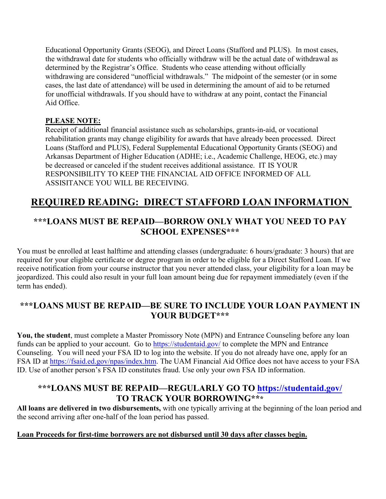Educational Opportunity Grants (SEOG), and Direct Loans (Stafford and PLUS). In most cases, the withdrawal date for students who officially withdraw will be the actual date of withdrawal as determined by the Registrar's Office. Students who cease attending without officially withdrawing are considered "unofficial withdrawals." The midpoint of the semester (or in some cases, the last date of attendance) will be used in determining the amount of aid to be returned for unofficial withdrawals. If you should have to withdraw at any point, contact the Financial Aid Office.

### **PLEASE NOTE:**

Receipt of additional financial assistance such as scholarships, grants-in-aid, or vocational rehabilitation grants may change eligibility for awards that have already been processed. Direct Loans (Stafford and PLUS), Federal Supplemental Educational Opportunity Grants (SEOG) and Arkansas Department of Higher Education (ADHE; i.e., Academic Challenge, HEOG, etc.) may be decreased or canceled if the student receives additional assistance. IT IS YOUR RESPONSIBILITY TO KEEP THE FINANCIAL AID OFFICE INFORMED OF ALL ASSISITANCE YOU WILL BE RECEIVING.

## **REQUIRED READING: DIRECT STAFFORD LOAN INFORMATION**

## **\*\*\*LOANS MUST BE REPAID—BORROW ONLY WHAT YOU NEED TO PAY SCHOOL EXPENSES\*\*\***

You must be enrolled at least halftime and attending classes (undergraduate: 6 hours/graduate: 3 hours) that are required for your eligible certificate or degree program in order to be eligible for a Direct Stafford Loan. If we receive notification from your course instructor that you never attended class, your eligibility for a loan may be jeopardized. This could also result in your full loan amount being due for repayment immediately (even if the term has ended).

### **\*\*\*LOANS MUST BE REPAID—BE SURE TO INCLUDE YOUR LOAN PAYMENT IN YOUR BUDGET\*\*\***

**You, the student**, must complete a Master Promissory Note (MPN) and Entrance Counseling before any loan funds can be applied to your account. Go to <https://studentaid.gov/> to complete the MPN and Entrance Counseling. You will need your FSA ID to log into the website. If you do not already have one, apply for an FSA ID at [https://fsaid.ed.gov/npas/index.htm.](https://fsaid.ed.gov/npas/index.htm) The UAM Financial Aid Office does not have access to your FSA ID. Use of another person's FSA ID constitutes fraud. Use only your own FSA ID information.

### **\*\*\*LOANS MUST BE REPAID—REGULARLY GO TO <https://studentaid.gov/> TO TRACK YOUR BORROWING\*\*\***

**All loans are delivered in two disbursements,** with one typically arriving at the beginning of the loan period and the second arriving after one‐half of the loan period has passed.

#### Loan Proceeds for first-time borrowers are not disbursed until 30 days after classes begin.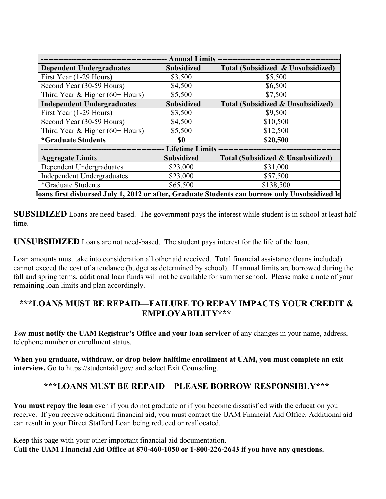| <b>Annual Limits</b>                                                                           |                        |                                              |  |
|------------------------------------------------------------------------------------------------|------------------------|----------------------------------------------|--|
| <b>Dependent Undergraduates</b>                                                                | <b>Subsidized</b>      | Total (Subsidized & Unsubsidized)            |  |
| First Year (1-29 Hours)                                                                        | \$3,500                | \$5,500                                      |  |
| Second Year (30-59 Hours)                                                                      | \$4,500                | \$6,500                                      |  |
| Third Year & Higher $(60+$ Hours)                                                              | \$5,500                | \$7,500                                      |  |
| <b>Independent Undergraduates</b>                                                              | <b>Subsidized</b>      | <b>Total (Subsidized &amp; Unsubsidized)</b> |  |
| First Year (1-29 Hours)                                                                        | \$3,500                | \$9,500                                      |  |
| Second Year (30-59 Hours)                                                                      | \$4,500                | \$10,500                                     |  |
| Third Year & Higher $(60+$ Hours)                                                              | \$5,500                | \$12,500                                     |  |
| <i><b>*Graduate Students</b></i>                                                               | \$0                    | \$20,500                                     |  |
|                                                                                                | <b>Lifetime Limits</b> |                                              |  |
| <b>Aggregate Limits</b>                                                                        | <b>Subsidized</b>      | Total (Subsidized & Unsubsidized)            |  |
| Dependent Undergraduates                                                                       | \$23,000               | \$31,000                                     |  |
| <b>Independent Undergraduates</b>                                                              | \$23,000               | \$57,500                                     |  |
| <i>*</i> Graduate Students                                                                     | \$65,500               | \$138,500                                    |  |
| loans first disbursed July 1, 2012 or after, Graduate Students can borrow only Unsubsidized lo |                        |                                              |  |

**SUBSIDIZED** Loans are need-based. The government pays the interest while student is in school at least halftime.

**UNSUBSIDIZED** Loans are not need-based. The student pays interest for the life of the loan.

Loan amounts must take into consideration all other aid received. Total financial assistance (loans included) cannot exceed the cost of attendance (budget as determined by school). If annual limits are borrowed during the fall and spring terms, additional loan funds will not be available for summer school. Please make a note of your remaining loan limits and plan accordingly.

### **\*\*\*LOANS MUST BE REPAID—FAILURE TO REPAY IMPACTS YOUR CREDIT & EMPLOYABILITY\*\*\***

*You* **must notify the UAM Registrar's Office and your loan servicer** of any changes in your name, address, telephone number or enrollment status.

**When you graduate, withdraw, or drop below halftime enrollment at UAM, you must complete an exit interview.** Go to <https://studentaid.gov/> and select Exit Counseling.

## **\*\*\*LOANS MUST BE REPAID—PLEASE BORROW RESPONSIBLY\*\*\***

**You must repay the loan** even if you do not graduate or if you become dissatisfied with the education you receive. If you receive additional financial aid, you must contact the UAM Financial Aid Office. Additional aid can result in your Direct Stafford Loan being reduced or reallocated.

Keep this page with your other important financial aid documentation. **Call the UAM Financial Aid Office at 870-460-1050 or 1-800-226-2643 if you have any questions.**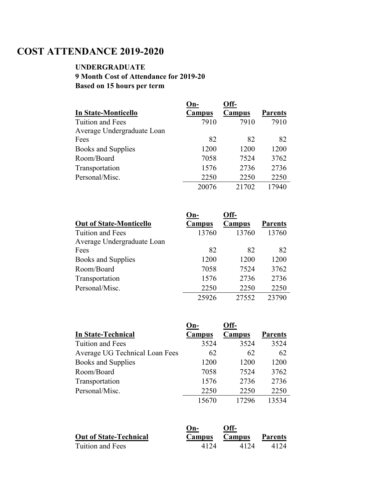## **COST ATTENDANCE 2019-2020**

### **UNDERGRADUATE 9 Month Cost of Attendance for 2019-20 Based on 15 hours per term**

|                            | On-    | Off-   |                |
|----------------------------|--------|--------|----------------|
| In State-Monticello        | Campus | Campus | <b>Parents</b> |
| Tuition and Fees           | 7910   | 7910   | 7910           |
| Average Undergraduate Loan |        |        |                |
| Fees                       | 82     | 82     | 82             |
| Books and Supplies         | 1200   | 1200   | 1200           |
| Room/Board                 | 7058   | 7524   | 3762           |
| Transportation             | 1576   | 2736   | 2736           |
| Personal/Misc.             | 2250   | 2250   | 2250           |
|                            | 20076  | 21702  | 17940          |

|                                | ( )n-  | Off-   |                |
|--------------------------------|--------|--------|----------------|
| <b>Out of State-Monticello</b> | Campus | Campus | <b>Parents</b> |
| Tuition and Fees               | 13760  | 13760  | 13760          |
| Average Undergraduate Loan     |        |        |                |
| Fees                           | 82     | 82     | 82             |
| Books and Supplies             | 1200   | 1200   | 1200           |
| Room/Board                     | 7058   | 7524   | 3762           |
| Transportation                 | 1576   | 2736   | 2736           |
| Personal/Misc.                 | 2250   | 2250   | 2250           |
|                                | 25926  | 27552  | 23790          |

|                                | On-    | Off-   |                |
|--------------------------------|--------|--------|----------------|
| <b>In State-Technical</b>      | Campus | Campus | <b>Parents</b> |
| Tuition and Fees               | 3524   | 3524   | 3524           |
| Average UG Technical Loan Fees | 62     | 62     | 62             |
| Books and Supplies             | 1200   | 1200   | 1200           |
| Room/Board                     | 7058   | 7524   | 3762           |
| Transportation                 | 1576   | 2736   | 2736           |
| Personal/Misc.                 | 2250   | 2250   | 2250           |
|                                | 15670  | 17296  | 13534          |

|                               | $On-$         | Off- |                |
|-------------------------------|---------------|------|----------------|
| <b>Out of State-Technical</b> | Campus Campus |      | <b>Parents</b> |
| Tuition and Fees              | 4174          | 4124 | 4124           |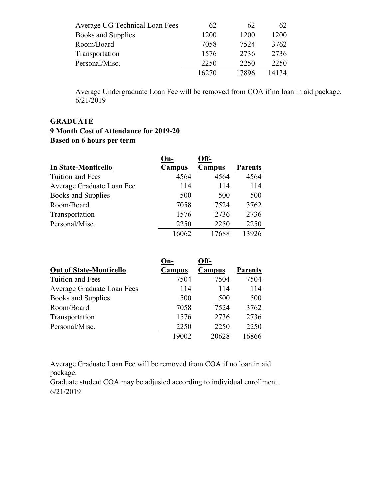| Average UG Technical Loan Fees | 62    | 62    | 62    |
|--------------------------------|-------|-------|-------|
| Books and Supplies             | 1200  | 1200  | 1200  |
| Room/Board                     | 7058  | 7524  | 3762  |
| Transportation                 | 1576  | 2736  | 2736  |
| Personal/Misc.                 | 2250  | 2250  | 2250  |
|                                | 16270 | 17896 | 14134 |

Average Undergraduate Loan Fee will be removed from COA if no loan in aid package. 6/21/2019

#### **GRADUATE**

#### **9 Month Cost of Attendance for 2019-20 Based on 6 hours per term**

|                           | On-    | Off-   |                |
|---------------------------|--------|--------|----------------|
| In State-Monticello       | Campus | Campus | <b>Parents</b> |
| Tuition and Fees          | 4564   | 4564   | 4564           |
| Average Graduate Loan Fee | 114    | 114    | 114            |
| Books and Supplies        | 500    | 500    | 500            |
| Room/Board                | 7058   | 7524   | 3762           |
| Transportation            | 1576   | 2736   | 2736           |
| Personal/Misc.            | 2250   | 2250   | 2250           |
|                           | 16062  | 17688  | 13926          |

|                                | ()n-   | Off-   |                |
|--------------------------------|--------|--------|----------------|
| <b>Out of State-Monticello</b> | Campus | Campus | <b>Parents</b> |
| Tuition and Fees               | 7504   | 7504   | 7504           |
| Average Graduate Loan Fees     | 114    | 114    | 114            |
| Books and Supplies             | 500    | 500    | 500            |
| Room/Board                     | 7058   | 7524   | 3762           |
| Transportation                 | 1576   | 2736   | 2736           |
| Personal/Misc.                 | 2250   | 2250   | 2250           |
|                                | 19002  | 20628  | 16866          |

Average Graduate Loan Fee will be removed from COA if no loan in aid package.

Graduate student COA may be adjusted according to individual enrollment. 6/21/2019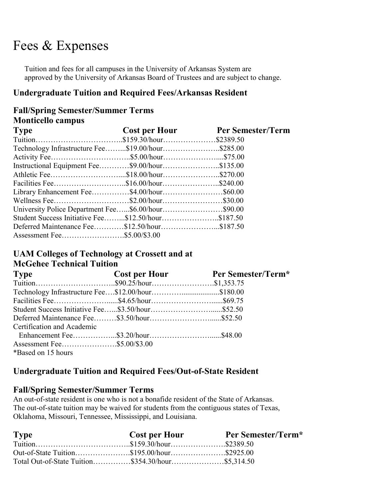## Fees & Expenses

Tuition and fees for all campuses in the University of Arkansas System are approved by the University of Arkansas Board of Trustees and are subject to change.

### **Undergraduate Tuition and Required Fees/Arkansas Resident**

### **Fall/Spring Semester/Summer Terms Monticello campus**

| <b>Type</b>                                        | <b>Cost per Hour</b> Per Semester/Term |
|----------------------------------------------------|----------------------------------------|
|                                                    |                                        |
| Technology Infrastructure Fee\$19.00/hour\$285.00  |                                        |
|                                                    |                                        |
| Instructional Equipment Fee\$9.00/hour\$135.00     |                                        |
|                                                    |                                        |
|                                                    |                                        |
| Library Enhancement Fee\$4.00/hour\$60.00          |                                        |
|                                                    |                                        |
| University Police Department Fee\$6.00/hour\$90.00 |                                        |
| Student Success Initiative Fee\$12.50/hour\$187.50 |                                        |
| Deferred Maintenance Fee\$12.50/hour\$187.50       |                                        |
| Assessment Fee\$5.00/\$3.00                        |                                        |

### **UAM Colleges of Technology at Crossett and at McGehee Technical Tuition**

| <b>Type</b>                                       | <b>Cost per Hour</b> Per Semester/Term* |
|---------------------------------------------------|-----------------------------------------|
|                                                   |                                         |
| Technology Infrastructure Fee\$12.00/hour\$180.00 |                                         |
|                                                   |                                         |
|                                                   |                                         |
| Deferred Maintenance Fee\$3.50/hour\$52.50        |                                         |
| Certification and Academic                        |                                         |
|                                                   |                                         |
| Assessment Fee\$5.00/\$3.00                       |                                         |
| *Based on 15 hours                                |                                         |

### **Undergraduate Tuition and Required Fees/Out-of-State Resident**

### **Fall/Spring Semester/Summer Terms**

An out-of-state resident is one who is not a bonafide resident of the State of Arkansas. The out-of-state tuition may be waived for students from the contiguous states of Texas, Oklahoma, Missouri, Tennessee, Mississippi, and Louisiana.

| <b>Type</b>                                       | <b>Cost per Hour</b> | Per Semester/Term* |
|---------------------------------------------------|----------------------|--------------------|
|                                                   |                      |                    |
|                                                   |                      |                    |
| Total Out-of-State Tuition\$354.30/hour\$5,314.50 |                      |                    |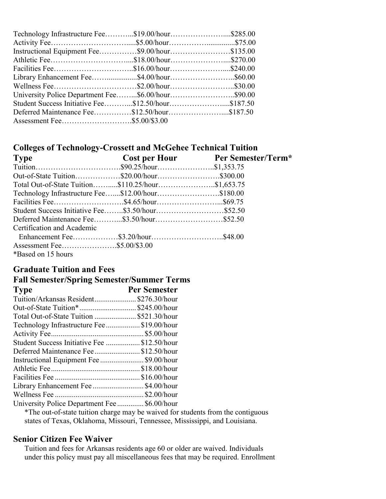| Technology Infrastructure Fee\$19.00/hour\$285.00  |  |
|----------------------------------------------------|--|
|                                                    |  |
| Instructional Equipment Fee\$9.00/hour\$135.00     |  |
|                                                    |  |
|                                                    |  |
| Library Enhancement Fee\$4.00/hour\$60.00          |  |
|                                                    |  |
| University Police Department Fee\$6.00/hour\$90.00 |  |
| Student Success Initiative Fee\$12.50/hour\$187.50 |  |
| Deferred Maintenance Fee\$12.50/hour\$187.50       |  |
|                                                    |  |
|                                                    |  |

## **Colleges of Technology-Crossett and McGehee Technical Tuition**

| <b>Type</b>                                       | Cost per Hour Per Semester/Term* |
|---------------------------------------------------|----------------------------------|
|                                                   |                                  |
| Out-of-State Tuition\$20.00/hour\$300.00          |                                  |
| Total Out-of-State Tuition\$110.25/hour\$1,653.75 |                                  |
| Technology Infrastructure Fee\$12.00/hour\$180.00 |                                  |
|                                                   |                                  |
| Student Success Initiative Fee\$3.50/hour\$52.50  |                                  |
| Deferred Maintenance Fee\$3.50/hour\$52.50        |                                  |
| Certification and Academic                        |                                  |
| Enhancement Fee\$3.20/hour\$48.00                 |                                  |
| Assessment Fee\$5.00/\$3.00                       |                                  |
| *Based on 15 hours                                |                                  |

## **Graduate Tuition and Fees**

#### **Fall Semester/Spring Semester/Summer Terms Type Per Semester**

| Tuition/Arkansas Resident\$276.30/hour      |
|---------------------------------------------|
| Out-of-State Tuition*\$245.00/hour          |
| Total Out-of-State Tuition  \$521.30/hour   |
| Technology Infrastructure Fee\$19.00/hour   |
|                                             |
| Student Success Initiative Fee \$12.50/hour |
| Deferred Maintenance Fee\$12.50/hour        |
| Instructional Equipment Fee \$9.00/hour     |
|                                             |
|                                             |
| Library Enhancement Fee \$4.00/hour         |
|                                             |
| University Police Department Fee\$6.00/hour |
|                                             |

\*The out-of-state tuition charge may be waived for students from the contiguous states of Texas, Oklahoma, Missouri, Tennessee, Mississippi, and Louisiana.

#### **Senior Citizen Fee Waiver**

Tuition and fees for Arkansas residents age 60 or older are waived. Individuals under this policy must pay all miscellaneous fees that may be required. Enrollment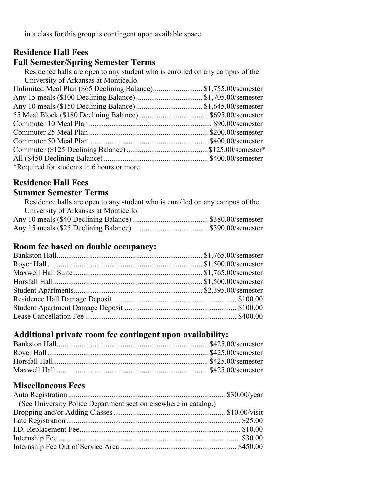in a class for this group is contingent upon available space.

### **Residence Hall Fees**

#### **Fall Semester/Spring Semester Terms**

Residence halls are open to any student who is enrolled on any campus of the University of Arkansas at Monticello.

| *Required for students in 6 hours or more |  |
|-------------------------------------------|--|

### **Residence Hall Fees**

### **Summer Semester Terms**

| Residence halls are open to any student who is enrolled on any campus of the |  |
|------------------------------------------------------------------------------|--|
| University of Arkansas at Monticello.                                        |  |
|                                                                              |  |
|                                                                              |  |

## **Room fee based on double occupancy:**

## **Additional private room fee contingent upon availability:**

### **Miscellaneous Fees**

| (See University Police Department section elsewhere in catalog.) |  |
|------------------------------------------------------------------|--|
|                                                                  |  |
|                                                                  |  |
|                                                                  |  |
|                                                                  |  |
|                                                                  |  |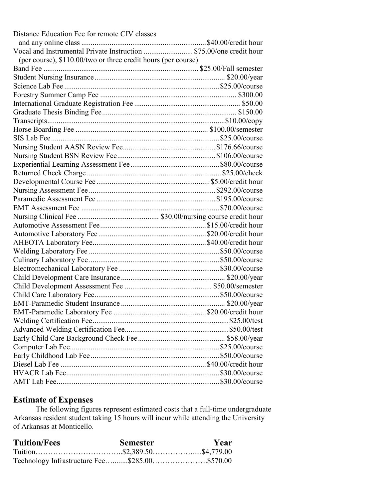| Distance Education Fee for remote CIV classes                       |  |
|---------------------------------------------------------------------|--|
|                                                                     |  |
| Vocal and Instrumental Private Instruction  \$75.00/one credit hour |  |
| (per course), \$110.00/two or three credit hours (per course)       |  |
|                                                                     |  |
|                                                                     |  |
|                                                                     |  |
|                                                                     |  |
|                                                                     |  |
|                                                                     |  |
|                                                                     |  |
|                                                                     |  |
|                                                                     |  |
|                                                                     |  |
|                                                                     |  |
|                                                                     |  |
|                                                                     |  |
|                                                                     |  |
|                                                                     |  |
|                                                                     |  |
|                                                                     |  |
|                                                                     |  |
|                                                                     |  |
|                                                                     |  |
|                                                                     |  |
|                                                                     |  |
|                                                                     |  |
|                                                                     |  |
|                                                                     |  |
|                                                                     |  |
|                                                                     |  |
|                                                                     |  |
|                                                                     |  |
|                                                                     |  |
|                                                                     |  |
|                                                                     |  |
|                                                                     |  |
|                                                                     |  |
|                                                                     |  |
|                                                                     |  |
|                                                                     |  |

### **Estimate of Expenses**

The following figures represent estimated costs that a full-time undergraduate Arkansas resident student taking 15 hours will incur while attending the University of Arkansas at Monticello.

| <b>Tuition/Fees</b>                           | <b>Semester</b> | Year |
|-----------------------------------------------|-----------------|------|
|                                               |                 |      |
| Technology Infrastructure Fee\$285.00\$570.00 |                 |      |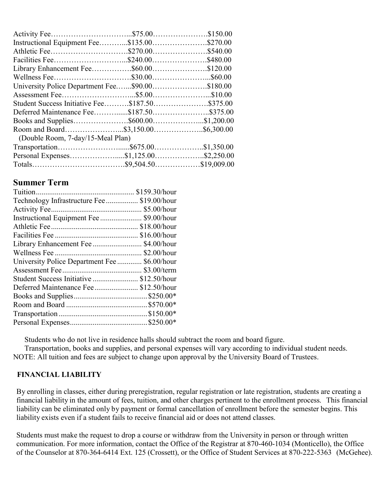| Instructional Equipment Fee\$135.00\$270.00    |  |
|------------------------------------------------|--|
|                                                |  |
|                                                |  |
|                                                |  |
|                                                |  |
|                                                |  |
|                                                |  |
| Student Success Initiative Fee\$187.50\$375.00 |  |
| Deferred Maintenance Fee\$187.50\$375.00       |  |
|                                                |  |
|                                                |  |
| (Double Room, 7-day/15-Meal Plan)              |  |
|                                                |  |
|                                                |  |
|                                                |  |

### **Summer Term**

| Technology Infrastructure Fee  \$19.00/hour   |                |
|-----------------------------------------------|----------------|
|                                               |                |
| Instructional Equipment Fee  \$9.00/hour      |                |
|                                               |                |
|                                               | $$16.00/h$ our |
| Library Enhancement Fee\$4.00/hour            |                |
|                                               |                |
| University Police Department Fee  \$6.00/hour |                |
|                                               |                |
| Student Success Initiative  \$12.50/hour      |                |
| Deferred Maintenance Fee  \$12.50/hour        |                |
|                                               |                |
|                                               |                |
|                                               |                |
|                                               |                |
|                                               |                |

Students who do not live in residence halls should subtract the room and board figure.

Transportation, books and supplies, and personal expenses will vary according to individual student needs. NOTE: All tuition and fees are subject to change upon approval by the University Board of Trustees.

#### **FINANCIAL LIABILITY**

By enrolling in classes, either during preregistration, regular registration or late registration, students are creating a financial liability in the amount of fees, tuition, and other charges pertinent to the enrollment process. This financial liability can be eliminated only by payment or formal cancellation of enrollment before the semester begins. This liability exists even if a student fails to receive financial aid or does not attend classes.

Students must make the request to drop a course or withdraw from the University in person or through written communication. For more information, contact the Office of the Registrar at 870-460-1034 (Monticello), the Office of the Counselor at 870-364-6414 Ext. 125 (Crossett), or the Office of Student Services at 870-222-5363 (McGehee).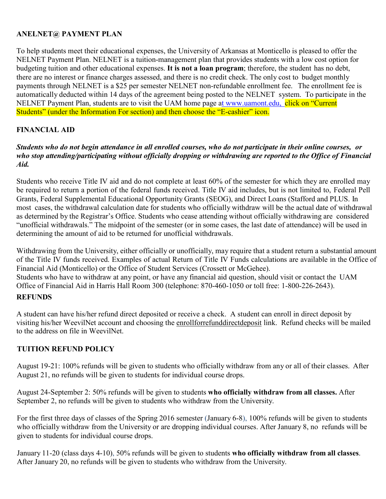#### **ANELNET@ PAYMENT PLAN**

To help students meet their educational expenses, the University of Arkansas at Monticello is pleased to offer the NELNET Payment Plan. NELNET is a tuition-management plan that provides students with a low cost option for budgeting tuition and other educational expenses. **It is not a loan program**; therefore, the student has no debt, there are no interest or finance charges assessed, and there is no credit check. The only cost to budget monthly payments through NELNET is a \$25 per semester NELNET non-refundable enrollment fee. The enrollment fee is automatically deducted within 14 days of the agreement being posted to the NELNET system. To participate in the NELNET Payment Plan, students are to visit the UAM home page [at www.uamont.edu,](http://www.uamont.edu/) click on "Current" Students" (under the Information For section) and then choose the "E-cashier" icon.

#### **FINANCIAL AID**

#### *Students who do not begin attendance in all enrolled courses, who do not participate in their online courses, or who stop attending/participating without officially dropping or withdrawing are reported to the Office of Financial Aid.*

Students who receive Title IV aid and do not complete at least 60% of the semester for which they are enrolled may be required to return a portion of the federal funds received. Title IV aid includes, but is not limited to, Federal Pell Grants, Federal Supplemental Educational Opportunity Grants (SEOG), and Direct Loans (Stafford and PLUS. In most cases, the withdrawal calculation date for students who officially withdraw will be the actual date of withdrawal as determined by the Registrar's Office. Students who cease attending without officially withdrawing are considered "unofficial withdrawals." The midpoint of the semester (or in some cases, the last date of attendance) will be used in determining the amount of aid to be returned for unofficial withdrawals.

Withdrawing from the University, either officially or unofficially, may require that a student return a substantial amount of the Title IV funds received. Examples of actual Return of Title IV Funds calculations are available in the Office of Financial Aid (Monticello) or the Office of Student Services (Crossett or McGehee). Students who have to withdraw at any point, or have any financial aid question, should visit or contact the UAM Office of Financial Aid in Harris Hall Room 300 (telephone: 870-460-1050 or toll free: 1-800-226-2643).

#### **REFUNDS**

A student can have his/her refund direct deposited or receive a check. A student can enroll in direct deposit by visiting his/her WeevilNet account and choosing the enrollforrefunddirectdeposit link. Refund checks will be mailed to the address on file in WeevilNet.

#### **TUITION REFUND POLICY**

August 19-21: 100% refunds will be given to students who officially withdraw from any or all of their classes. After August 21, no refunds will be given to students for individual course drops.

August 24-September 2: 50% refunds will be given to students **who officially withdraw from all classes.** After September 2, no refunds will be given to students who withdraw from the University.

For the first three days of classes of the Spring 2016 semester (January 6-8), 100% refunds will be given to students who officially withdraw from the University or are dropping individual courses. After January 8, no refunds will be given to students for individual course drops.

January 11-20 (class days 4-10), 50% refunds will be given to students **who officially withdraw from all classes**. After January 20, no refunds will be given to students who withdraw from the University.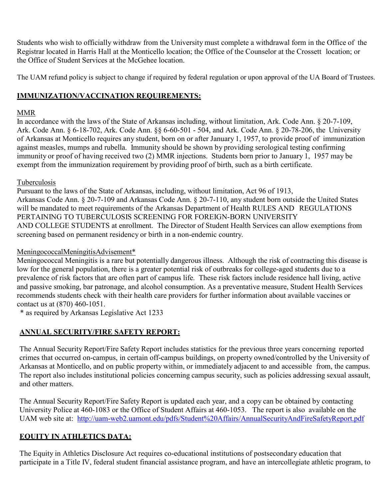Students who wish to officially withdraw from the University must complete a withdrawal form in the Office of the Registrar located in Harris Hall at the Monticello location; the Office of the Counselor at the Crossett location; or the Office of Student Services at the McGehee location.

The UAM refund policy is subject to change if required by federal regulation or upon approval of the UA Board of Trustees.

#### **IMMUNIZATION/VACCINATION REQUIREMENTS:**

### MMR

In accordance with the laws of the State of Arkansas including, without limitation, Ark. Code Ann. § 20-7-109, Ark. Code Ann. § 6-18-702, Ark. Code Ann. §§ 6-60-501 - 504, and Ark. Code Ann. § 20-78-206, the University of Arkansas at Monticello requires any student, born on or after January 1, 1957, to provide proof of immunization against measles, mumps and rubella. Immunity should be shown by providing serological testing confirming immunity or proof of having received two (2) MMR injections. Students born prior to January 1, 1957 may be exempt from the immunization requirement by providing proof of birth, such as a birth certificate.

### Tuberculosis

Pursuant to the laws of the State of Arkansas, including, without limitation, Act 96 of 1913, Arkansas Code Ann. § 20-7-109 and Arkansas Code Ann. § 20-7-110, any student born outside the United States will be mandated to meet requirements of the Arkansas Department of Health RULES AND REGULATIONS PERTAINING TO TUBERCULOSIS SCREENING FOR FOREIGN-BORN UNIVERSITY AND COLLEGE STUDENTS at enrollment. The Director of Student Health Services can allow exemptions from screening based on permanent residency or birth in a non-endemic country.

#### MeningococcalMeningitisAdvisement\*

Meningococcal Meningitis is a rare but potentially dangerous illness. Although the risk of contracting this disease is low for the general population, there is a greater potential risk of outbreaks for college-aged students due to a prevalence of risk factors that are often part of campus life. These risk factors include residence hall living, active and passive smoking, bar patronage, and alcohol consumption. As a preventative measure, Student Health Services recommends students check with their health care providers for further information about available vaccines or contact us at (870) 460-1051.

\* as required by Arkansas Legislative Act 1233

## **ANNUAL SECURITY/FIRE SAFETY REPORT:**

The Annual Security Report/Fire Safety Report includes statistics for the previous three years concerning reported crimes that occurred on-campus, in certain off-campus buildings, on property owned/controlled by the University of Arkansas at Monticello, and on public property within, or immediately adjacent to and accessible from, the campus. The report also includes institutional policies concerning campus security, such as policies addressing sexual assault, and other matters.

The Annual Security Report/Fire Safety Report is updated each year, and a copy can be obtained by contacting University Police at 460-1083 or the Office of Student Affairs at 460-1053. The report is also available on the UAM web site at: <http://uam-web2.uamont.edu/pdfs/Student%20Affairs/AnnualSecurityAndFireSafetyReport.pdf>

## **EQUITY IN ATHLETICS DATA:**

The Equity in Athletics Disclosure Act requires co-educational institutions of postsecondary education that participate in a Title IV, federal student financial assistance program, and have an intercollegiate athletic program, to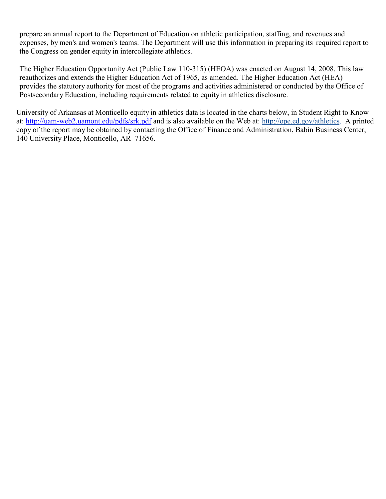prepare an annual report to the Department of Education on athletic participation, staffing, and revenues and expenses, by men's and women's teams. The Department will use this information in preparing its required report to the Congress on gender equity in intercollegiate athletics.

The Higher Education Opportunity Act (Public Law 110-315) (HEOA) was enacted on August 14, 2008. This law reauthorizes and extends the Higher Education Act of 1965, as amended. The Higher Education Act (HEA) provides the statutory authority for most of the programs and activities administered or conducted by the Office of Postsecondary Education, including requirements related to equity in athletics disclosure.

University of Arkansas at Monticello equity in athletics data is located in the charts below, in Student Right to Know at:<http://uam-web2.uamont.edu/pdfs/srk.pdf> and is also available on the Web at: [http://ope.ed.gov/athletics.](http://ope.ed.gov/athletics/) A printed copy of the report may be obtained by contacting the Office of Finance and Administration, Babin Business Center, 140 University Place, Monticello, AR 71656.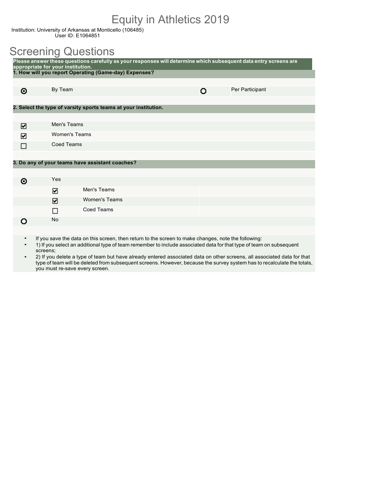## Equity in Athletics 2019

Institution: University of Arkansas at Monticello (106485) User ID: E1064851

## Screening Questions

| Please answer these questions carefully as your responses will determine which subsequent data entry screens are<br>appropriate for your institution. |                      |                                                                                                     |  |   |                 |  |  |  |
|-------------------------------------------------------------------------------------------------------------------------------------------------------|----------------------|-----------------------------------------------------------------------------------------------------|--|---|-----------------|--|--|--|
|                                                                                                                                                       |                      | 1. How will you report Operating (Game-day) Expenses?                                               |  |   |                 |  |  |  |
|                                                                                                                                                       |                      |                                                                                                     |  |   |                 |  |  |  |
| ⊙                                                                                                                                                     | By Team              |                                                                                                     |  | O | Per Participant |  |  |  |
|                                                                                                                                                       |                      |                                                                                                     |  |   |                 |  |  |  |
|                                                                                                                                                       |                      | 2. Select the type of varsity sports teams at your institution.                                     |  |   |                 |  |  |  |
|                                                                                                                                                       |                      |                                                                                                     |  |   |                 |  |  |  |
| ☑                                                                                                                                                     | Men's Teams          |                                                                                                     |  |   |                 |  |  |  |
| 罓                                                                                                                                                     | <b>Women's Teams</b> |                                                                                                     |  |   |                 |  |  |  |
| П                                                                                                                                                     | Coed Teams           |                                                                                                     |  |   |                 |  |  |  |
|                                                                                                                                                       |                      |                                                                                                     |  |   |                 |  |  |  |
|                                                                                                                                                       |                      | 3. Do any of your teams have assistant coaches?                                                     |  |   |                 |  |  |  |
|                                                                                                                                                       |                      |                                                                                                     |  |   |                 |  |  |  |
| ⊙                                                                                                                                                     | Yes                  |                                                                                                     |  |   |                 |  |  |  |
|                                                                                                                                                       | ☑                    | Men's Teams                                                                                         |  |   |                 |  |  |  |
|                                                                                                                                                       | ☑                    | <b>Women's Teams</b>                                                                                |  |   |                 |  |  |  |
|                                                                                                                                                       | П                    | <b>Coed Teams</b>                                                                                   |  |   |                 |  |  |  |
| O                                                                                                                                                     | No                   |                                                                                                     |  |   |                 |  |  |  |
|                                                                                                                                                       |                      |                                                                                                     |  |   |                 |  |  |  |
| $\bullet$                                                                                                                                             |                      | If you save the data on this screen, then return to the screen to make changes, note the following: |  |   |                 |  |  |  |

• 1) If you select an additional type of team remember to include associated data for that type of team on subsequent screens;

• 2) If you delete a type of team but have already entered associated data on other screens, all associated data for that type of team will be deleted from subsequent screens. However, because the survey system has to recalculate the totals, you must re-save every screen.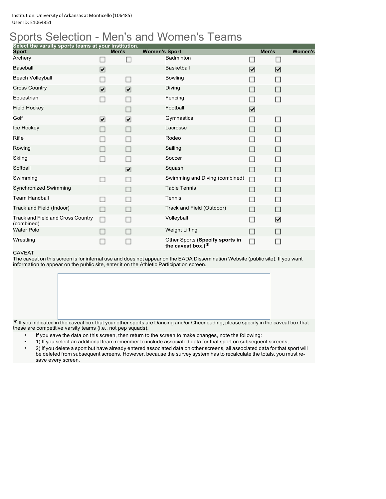## Sports Selection - Men's and Women's Teams

| Select the varsity sports teams at your institution.   |        |       |                                                         |        |       |                |
|--------------------------------------------------------|--------|-------|---------------------------------------------------------|--------|-------|----------------|
| <b>Sport</b>                                           |        | Men's | <b>Women's Sport</b>                                    |        | Men's | <b>Women's</b> |
| Archery                                                | $\Box$ | П     | <b>Badminton</b>                                        | П      | □     |                |
| <b>Baseball</b>                                        | ☑      |       | <b>Basketball</b>                                       | ☑      | ☑     |                |
| Beach Volleyball                                       | П      | П     | <b>Bowling</b>                                          | П      | П     |                |
| <b>Cross Country</b>                                   | ☑      | ☑     | Diving                                                  | $\Box$ | □     |                |
| Equestrian                                             | П      | П     | Fencing                                                 | П      | □     |                |
| <b>Field Hockey</b>                                    |        | П     | Football                                                | ☑      |       |                |
| Golf                                                   | ☑      | ☑     | Gymnastics                                              | □      | □     |                |
| Ice Hockey                                             | $\Box$ | □     | Lacrosse                                                | П      | П     |                |
| Rifle                                                  | □      | П     | Rodeo                                                   | П      | П     |                |
| Rowing                                                 | П      | П     | Sailing                                                 | П      | П     |                |
| Skiing                                                 | П      | П     | Soccer                                                  | П      | П     |                |
| Softball                                               |        | ☑     | Squash                                                  | П      | □     |                |
| Swimming                                               | П      | □     | Swimming and Diving (combined)                          | □      | П     |                |
| <b>Synchronized Swimming</b>                           |        | П     | <b>Table Tennis</b>                                     | □      | □     |                |
| <b>Team Handball</b>                                   | П      | П     | Tennis                                                  | П      | □     |                |
| Track and Field (Indoor)                               | П      | П     | Track and Field (Outdoor)                               | $\Box$ | □     |                |
| <b>Track and Field and Cross Country</b><br>(combined) | П      | П     | Volleyball                                              | П      | ☑     |                |
| <b>Water Polo</b>                                      |        | П     | <b>Weight Lifting</b>                                   | $\Box$ | П     |                |
| Wrestling                                              |        | П     | Other Sports (Specify sports in<br>the caveat box.) $*$ | П      | ΙI    |                |

#### CAVEAT

The caveat on this screen is for internal use and does not appear on the EADA Dissemination Website (public site). If you want information to appear on the public site, enter it on the Athletic Participation screen.

**\*** If you indicated in the caveat box that your other sports are Dancing and/or Cheerleading, please specify in the caveat box that these are competitive varsity teams (i.e., not pep squads).

- If you save the data on this screen, then return to the screen to make changes, note the following:
- 1) If you select an additional team remember to include associated data for that sport on subsequent screens;

• 2) If you delete a sport but have already entered associated data on other screens, all associated data for that sport will be deleted from subsequent screens. However, because the survey system has to recalculate the totals, you must resave every screen.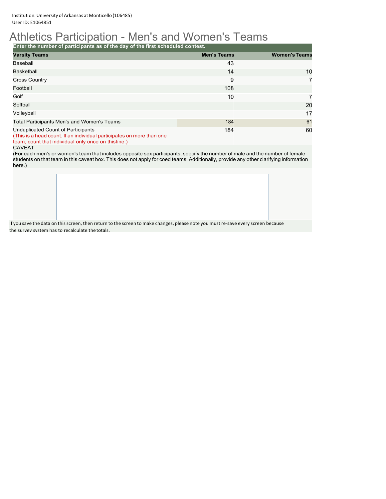## Athletics Participation - Men's and Women's Teams

**Enter the number of participants as of the day of the first scheduled contest.**

| <b>Varsity Teams</b>                                                                                                                                               | <b>Men's Teams</b> | <b>Women's Teams</b> |
|--------------------------------------------------------------------------------------------------------------------------------------------------------------------|--------------------|----------------------|
| Baseball                                                                                                                                                           | 43                 |                      |
| <b>Basketball</b>                                                                                                                                                  | 14                 | 10                   |
| <b>Cross Country</b>                                                                                                                                               | 9                  | 7                    |
| Football                                                                                                                                                           | 108                |                      |
| Golf                                                                                                                                                               | 10                 | 7                    |
| Softball                                                                                                                                                           |                    | 20                   |
| Volleyball                                                                                                                                                         |                    | 17                   |
| Total Participants Men's and Women's Teams                                                                                                                         | 184                | 61                   |
| Unduplicated Count of Participants<br>(This is a head count. If an individual participates on more than one<br>team, count that individual only once on thisline.) | 184                | 60                   |

CAVEAT

(For each men's or women's team that includes opposite sex participants, specify the number of male and the number of female students on that team in this caveat box. This does not apply for coed teams. Additionally, provide any other clarifying information here.)

If you save the data on thisscreen, then return to the screen to make changes, please note you must re-save every screen because the survey system has to recalculate thetotals.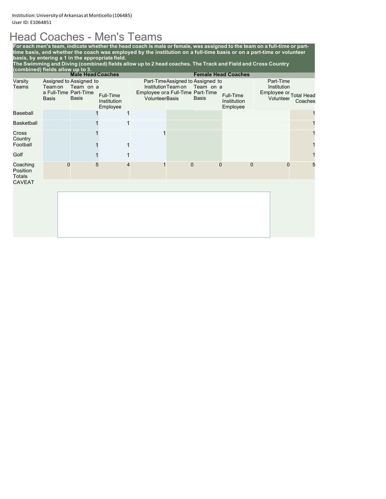## Head Coaches - Men's Teams

For each men's team, indicate whether the head coach is male or female, was assigned to the team on a full-time or part**time basis, and whether the coach was employed by the institution on a full-time basis or on a part-time or volunteer basis, by entering a 1 in the appropriate field.** The Swimming and Diving (combined) fields allow up to 2 head coaches. The Track and Field and Cross Country

| (combined) fields allow up to 3. |                                                 |                                                      |                                      |                |                                                            |                     |                                                               |                                      |          |                                       |                                   |
|----------------------------------|-------------------------------------------------|------------------------------------------------------|--------------------------------------|----------------|------------------------------------------------------------|---------------------|---------------------------------------------------------------|--------------------------------------|----------|---------------------------------------|-----------------------------------|
|                                  |                                                 | <b>Male Head Coaches</b>                             |                                      |                | <b>Female Head Coaches</b>                                 |                     |                                                               |                                      |          |                                       |                                   |
| Varsity<br>Teams                 | Teamon<br>a Full-Time Part-Time<br><b>Basis</b> | Assigned to Assigned to<br>Team on a<br><b>Basis</b> | Full-Time<br>Institution<br>Employee |                | Employee or a Full-Time Part-Time<br><b>VolunteerBasis</b> | Institution Team on | Part-TimeAssigned to Assigned to<br>Team on a<br><b>Basis</b> | Full-Time<br>Institution<br>Employee |          | Part-Time<br>Institution<br>Volunteer | Employee or Total Head<br>Coaches |
| Baseball                         |                                                 |                                                      |                                      |                |                                                            |                     |                                                               |                                      |          |                                       |                                   |
| <b>Basketball</b>                |                                                 |                                                      |                                      | 1              |                                                            |                     |                                                               |                                      |          |                                       |                                   |
| <b>Cross</b><br>Country          |                                                 |                                                      |                                      |                |                                                            |                     |                                                               |                                      |          |                                       |                                   |
| Football                         |                                                 |                                                      |                                      |                |                                                            |                     |                                                               |                                      |          |                                       |                                   |
| Golf                             |                                                 |                                                      |                                      |                |                                                            |                     |                                                               |                                      |          |                                       |                                   |
| Coaching<br>Position<br>Totals   | $\Omega$                                        | 5                                                    |                                      | $\overline{4}$ |                                                            |                     | $\mathbf{0}$<br>$\mathbf{0}$                                  |                                      | $\Omega$ | $\Omega$                              | 5                                 |
| <b>CAVEAT</b>                    |                                                 |                                                      |                                      |                |                                                            |                     |                                                               |                                      |          |                                       |                                   |
|                                  |                                                 |                                                      |                                      |                |                                                            |                     |                                                               |                                      |          |                                       |                                   |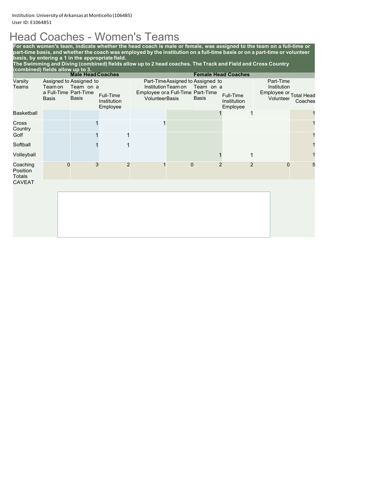## Head Coaches - Women's Teams

**For each women's team, indicate whether the head coach is male or female, was assigned to the team on a full-time or part-time basis, and whether the coach was employed by the institution on a full-time basis or on a part-time or volunteer basis, by entering a 1 in the appropriate field.**

The Swimming and Diving (combined) fields allow up to 2 head coaches. The Track and Field and Cross Country

| Teamon<br><b>Basis</b> | <b>Basis</b> | Full-Time<br>Institution                                              |                                                                                   |                | <b>Basis</b>                                 | Full-Time<br>Institution<br>Employee              |                                                    |                            | Coaches                                                         |
|------------------------|--------------|-----------------------------------------------------------------------|-----------------------------------------------------------------------------------|----------------|----------------------------------------------|---------------------------------------------------|----------------------------------------------------|----------------------------|-----------------------------------------------------------------|
|                        |              |                                                                       |                                                                                   |                |                                              |                                                   |                                                    |                            |                                                                 |
|                        |              |                                                                       |                                                                                   |                |                                              |                                                   |                                                    |                            |                                                                 |
|                        |              | 1                                                                     |                                                                                   |                |                                              |                                                   |                                                    |                            |                                                                 |
|                        |              |                                                                       |                                                                                   |                |                                              |                                                   |                                                    |                            |                                                                 |
|                        |              |                                                                       |                                                                                   |                |                                              |                                                   |                                                    |                            |                                                                 |
|                        |              |                                                                       |                                                                                   |                |                                              |                                                   | $\overline{2}$                                     | $\Omega$                   | 5                                                               |
|                        |              |                                                                       |                                                                                   |                |                                              |                                                   |                                                    |                            |                                                                 |
|                        |              |                                                                       |                                                                                   |                |                                              |                                                   |                                                    |                            |                                                                 |
|                        |              | (combined) fields allow up to 3.<br>a Full-Time Part-Time<br>$\Omega$ | <b>Male Head Coaches</b><br>Assigned to Assigned to<br>Team on a<br>Employee<br>3 | $\overline{2}$ | Institution Team on<br><b>VolunteerBasis</b> | Employee or a Full-Time Part-Time<br>$\mathbf{0}$ | Part-TimeAssigned to Assigned to<br>Team on a<br>2 | <b>Female Head Coaches</b> | Part-Time<br>Institution<br>Employee or Total Head<br>Volunteer |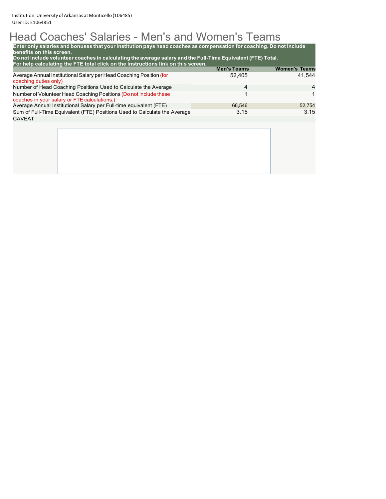# Head Coaches' Salaries - Men's and Women's Teams

| Enter only salaries and bonuses that your institution pays head coaches as compensation for coaching. Do not include<br>benefits on this screen.                                                  |                    |                      |  |  |  |  |
|---------------------------------------------------------------------------------------------------------------------------------------------------------------------------------------------------|--------------------|----------------------|--|--|--|--|
| Do not include volunteer coaches in calculating the average salary and the Full-Time Equivalent (FTE) Total.<br>For help calculating the FTE total click on the Instructions link on this screen. |                    |                      |  |  |  |  |
|                                                                                                                                                                                                   | <b>Men's Teams</b> | <b>Women's Teams</b> |  |  |  |  |
| Average Annual Institutional Salary per Head Coaching Position (for<br>coaching duties only)                                                                                                      | 52.405             | 41.544               |  |  |  |  |
| Number of Head Coaching Positions Used to Calculate the Average                                                                                                                                   | 4                  | $\overline{4}$       |  |  |  |  |
| Number of Volunteer Head Coaching Positions (Do not include these<br>coaches in your salary or FTE calculations.)                                                                                 |                    | 1                    |  |  |  |  |
| Average Annual Institutional Salary per Full-time equivalent (FTE)                                                                                                                                | 66.546             | 52,754               |  |  |  |  |
| Sum of Full-Time Equivalent (FTE) Positions Used to Calculate the Average                                                                                                                         | 3.15               | 3.15                 |  |  |  |  |
| CAVEAT                                                                                                                                                                                            |                    |                      |  |  |  |  |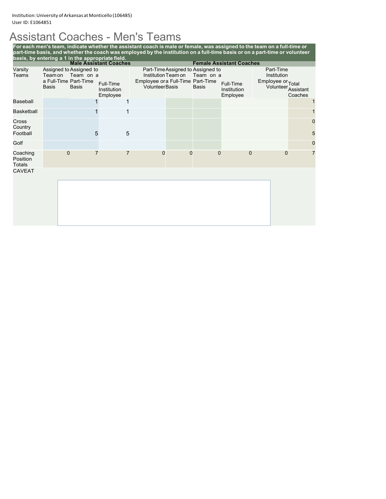## Assistant Coaches - Men's Teams

For each men's team, indicate whether the assistant coach is male or female, was assigned to the team on a full-time or **part-time basis, and whether the coach was employed by the institution on a full-time basis or on a part-time or volunteer basis, by entering a 1 in the appropriate field.**

|                                |                                          |                                                      | <b>Male Assistant Coaches</b>        |                |                                                            |                     |                                                                | <b>Female Assistant Coaches</b>      |                                               |              |                                   |
|--------------------------------|------------------------------------------|------------------------------------------------------|--------------------------------------|----------------|------------------------------------------------------------|---------------------|----------------------------------------------------------------|--------------------------------------|-----------------------------------------------|--------------|-----------------------------------|
| Varsity<br>Teams               | Teamon<br>a Full-Time Part-Time<br>Basis | Assigned to Assigned to<br>Team on a<br><b>Basis</b> | Full-Time<br>Institution<br>Employee |                | Employee or a Full-Time Part-Time<br><b>VolunteerBasis</b> | Institution Team on | Part-Time Assigned to Assigned to<br>Team on a<br><b>Basis</b> | Full-Time<br>Institution<br>Employee | Part-Time<br>Institution<br>Employee or Total |              | Volunteer<br>Assistant<br>Coaches |
| Baseball                       |                                          |                                                      |                                      |                |                                                            |                     |                                                                |                                      |                                               |              |                                   |
| <b>Basketball</b>              |                                          |                                                      |                                      | $\mathbf 1$    |                                                            |                     |                                                                |                                      |                                               |              |                                   |
| Cross<br>Country               |                                          |                                                      |                                      |                |                                                            |                     |                                                                |                                      |                                               |              | 0                                 |
| Football                       |                                          |                                                      | 5                                    | 5              |                                                            |                     |                                                                |                                      |                                               |              | 5                                 |
| Golf                           |                                          |                                                      |                                      |                |                                                            |                     |                                                                |                                      |                                               |              | $\mathbf 0$                       |
| Coaching<br>Position<br>Totals |                                          | $\mathbf{0}$                                         | $\overline{7}$                       | $\overline{7}$ | $\mathbf 0$                                                | $\mathbf 0$         | $\mathbf{0}$                                                   | $\mathbf{0}$                         |                                               | $\mathbf{0}$ | $\overline{7}$                    |
| <b>CAVEAT</b>                  |                                          |                                                      |                                      |                |                                                            |                     |                                                                |                                      |                                               |              |                                   |
|                                |                                          |                                                      |                                      |                |                                                            |                     |                                                                |                                      |                                               |              |                                   |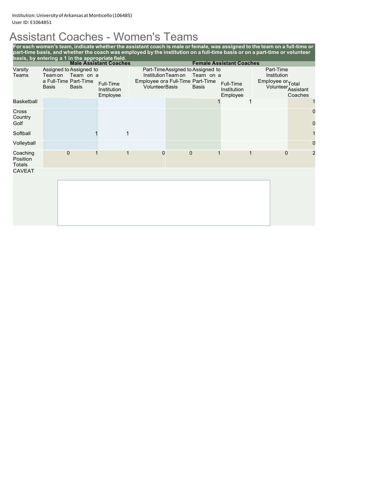## Assistant Coaches - Women's Teams

For each women's team, indicate whether the assistant coach is male or female, was assigned to the team on a full-time or **part-time basis, and whether the coach was employed by the institution on a full-time basis or on a part-time or volunteer basis, by entering a 1 in the appropriate field.**

|                                |                 |                                                                               | <b>Male Assistant Coaches</b>        |              |                                                                                  |                                                               | <b>Female Assistant Coaches</b>      |   |                                                          |                                   |                  |
|--------------------------------|-----------------|-------------------------------------------------------------------------------|--------------------------------------|--------------|----------------------------------------------------------------------------------|---------------------------------------------------------------|--------------------------------------|---|----------------------------------------------------------|-----------------------------------|------------------|
| Varsity<br>Teams               | Teamon<br>Basis | Assigned to Assigned to<br>Team on a<br>a Full-Time Part-Time<br><b>Basis</b> | Full-Time<br>Institution<br>Employee |              | Institution Team on<br>Employee ora Full-Time Part-Time<br><b>VolunteerBasis</b> | Part-TimeAssigned to Assigned to<br>Team on a<br><b>Basis</b> | Full-Time<br>Institution<br>Employee |   | Part-Time<br>Institution<br>Employee or <sub>Total</sub> | Volunteer<br>Assistant<br>Coaches |                  |
| <b>Basketball</b>              |                 |                                                                               |                                      |              |                                                                                  |                                                               |                                      |   |                                                          |                                   |                  |
| Cross<br>Country<br>Golf       |                 |                                                                               |                                      |              |                                                                                  |                                                               |                                      |   |                                                          |                                   | $\mathbf 0$<br>0 |
| Softball                       |                 |                                                                               |                                      | $\mathbf{1}$ |                                                                                  |                                                               |                                      |   |                                                          |                                   |                  |
| Volleyball                     |                 |                                                                               |                                      |              |                                                                                  |                                                               |                                      |   |                                                          |                                   | 0                |
| Coaching<br>Position<br>Totals |                 | $\mathbf{0}$                                                                  |                                      | 1            | $\mathbf 0$                                                                      | $\mathbf{0}$                                                  |                                      | 1 | $\mathbf{0}$                                             |                                   | $\overline{2}$   |
| <b>CAVEAT</b>                  |                 |                                                                               |                                      |              |                                                                                  |                                                               |                                      |   |                                                          |                                   |                  |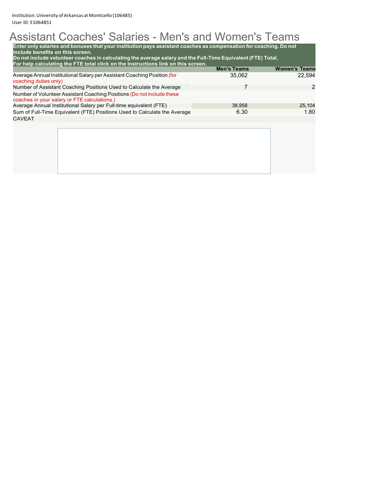## Assistant Coaches' Salaries - Men's and Women's Teams

| Enter only salaries and bonuses that your institution pays assistant coaches as compensation for coaching. Do not<br>include benefits on this screen.<br>Do not include volunteer coaches in calculating the average salary and the Full-Time Equivalent (FTE) Total.<br>For help calculating the FTE total click on the Instructions link on this screen. |                    |                      |
|------------------------------------------------------------------------------------------------------------------------------------------------------------------------------------------------------------------------------------------------------------------------------------------------------------------------------------------------------------|--------------------|----------------------|
|                                                                                                                                                                                                                                                                                                                                                            | <b>Men's Teams</b> | <b>Women's Teams</b> |
| Average Annual Institutional Salary per Assistant Coaching Position (for<br>coaching duties only)                                                                                                                                                                                                                                                          | 35.062             | 22.594               |
| Number of Assistant Coaching Positions Used to Calculate the Average                                                                                                                                                                                                                                                                                       |                    | $\mathcal{P}$        |
| Number of Volunteer Assistant Coaching Positions (Do not include these<br>coaches in your salary or FTE calculations.)                                                                                                                                                                                                                                     |                    |                      |
| Average Annual Institutional Salary per Full-time equivalent (FTE)                                                                                                                                                                                                                                                                                         | 38.958             | 25,104               |
| Sum of Full-Time Equivalent (FTE) Positions Used to Calculate the Average                                                                                                                                                                                                                                                                                  | 6.30               | 1.80                 |
| <b>CAVEAT</b>                                                                                                                                                                                                                                                                                                                                              |                    |                      |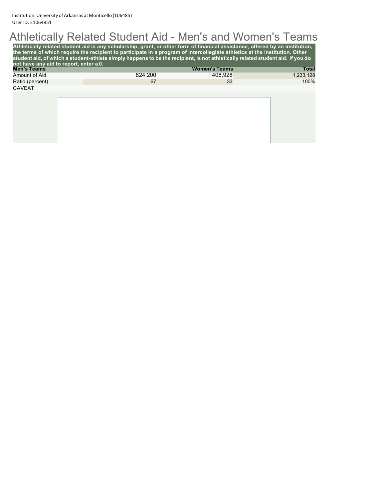## Athletically Related Student Aid - Men's and Women's Teams

|                                        | Athletically related student aid is any scholarship, grant, or other form of financial assistance, offered by an institution,<br>the terms of which require the recipient to participate in a program of intercollegiate athletics at the institution. Other<br>student aid, of which a student-athlete simply happens to be the recipient, is not athletically related student aid. If you do |                      |              |
|----------------------------------------|------------------------------------------------------------------------------------------------------------------------------------------------------------------------------------------------------------------------------------------------------------------------------------------------------------------------------------------------------------------------------------------------|----------------------|--------------|
| not have any aid to report, enter a 0. |                                                                                                                                                                                                                                                                                                                                                                                                |                      |              |
| <b>Men's Teams</b>                     |                                                                                                                                                                                                                                                                                                                                                                                                | <b>Women's Teams</b> | <b>Total</b> |
| Amount of Aid                          | 824.200                                                                                                                                                                                                                                                                                                                                                                                        | 408.928              | 1,233,128    |
| Ratio (percent)                        | 67                                                                                                                                                                                                                                                                                                                                                                                             | 33                   | 100%         |
| <b>CAVEAT</b>                          |                                                                                                                                                                                                                                                                                                                                                                                                |                      |              |
|                                        |                                                                                                                                                                                                                                                                                                                                                                                                |                      |              |
|                                        |                                                                                                                                                                                                                                                                                                                                                                                                |                      |              |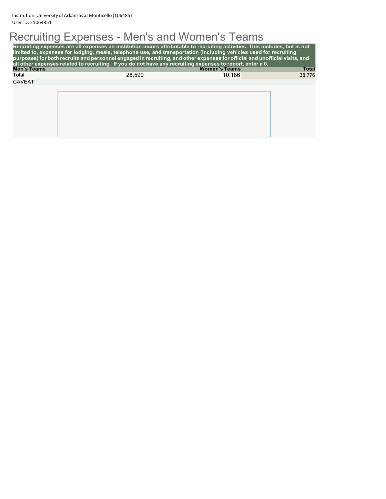# Recruiting Expenses - Men's and Women's Teams

|                    | Recruiting expenses are all expenses an institution incurs attributable to recruiting activities. This includes, but is not<br>limited to, expenses for lodging, meals, telephone use, and transportation (including vehicles used for recruiting<br>purposes) for both recruits and personnel engaged in recruiting, and other expenses for official and unofficial visits, and<br>all other expenses related to recruiting. If you do not have any recruiting expenses to report, enter a 0. |                      |              |
|--------------------|------------------------------------------------------------------------------------------------------------------------------------------------------------------------------------------------------------------------------------------------------------------------------------------------------------------------------------------------------------------------------------------------------------------------------------------------------------------------------------------------|----------------------|--------------|
| <b>Men's Teams</b> |                                                                                                                                                                                                                                                                                                                                                                                                                                                                                                | <b>Women's Teams</b> | <b>Total</b> |
| Total              | 28.590                                                                                                                                                                                                                                                                                                                                                                                                                                                                                         | 10.186               | 38,776       |
| <b>CAVEAT</b>      |                                                                                                                                                                                                                                                                                                                                                                                                                                                                                                |                      |              |
|                    |                                                                                                                                                                                                                                                                                                                                                                                                                                                                                                |                      |              |
|                    |                                                                                                                                                                                                                                                                                                                                                                                                                                                                                                |                      |              |
|                    |                                                                                                                                                                                                                                                                                                                                                                                                                                                                                                |                      |              |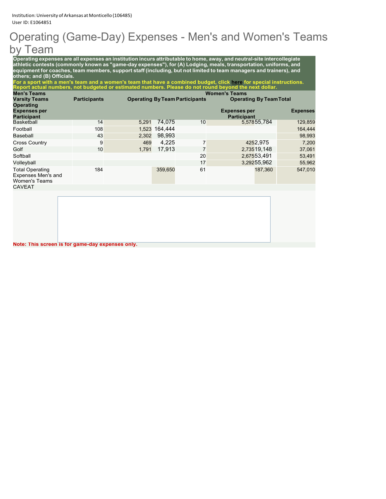## Operating (Game-Day) Expenses - Men's and Women's Teams by Team

**Operating expenses are all expenses an institution incurs attributable to home, away, and neutral-site intercollegiate athletic contests (commonly known as "game-day expenses"), for (A) Lodging, meals, transportation, uniforms, and equipment for coaches, team members, support staff (including, but not limited to team managers and trainers), and others; and (B) Officials.**

**For a sport with a men's team and a women's team that have a combined budget, click here for special instructions. Report actual numbers, not budgeted or estimated numbers. Please do not round beyond the next dollar.**

| <b>Men's Teams</b>                                                   |                     | <b>Women's Teams</b>                  |               |    |                                           |                 |  |
|----------------------------------------------------------------------|---------------------|---------------------------------------|---------------|----|-------------------------------------------|-----------------|--|
| <b>Varsity Teams</b><br>Operating                                    | <b>Participants</b> | <b>Operating By Team Participants</b> |               |    | <b>Operating By Team Total</b>            |                 |  |
| <b>Expenses per</b><br><b>Participant</b>                            |                     |                                       |               |    | <b>Expenses per</b><br><b>Participant</b> | <b>Expenses</b> |  |
| Basketball                                                           | 14                  | 5.291                                 | 74.075        | 10 | 5,57855,784                               | 129,859         |  |
| Football                                                             | 108                 |                                       | 1.523 164.444 |    |                                           | 164,444         |  |
| Baseball                                                             | 43                  | 2,302                                 | 98.993        |    |                                           | 98,993          |  |
| <b>Cross Country</b>                                                 | 9                   | 469                                   | 4.225         |    | 4252.975                                  | 7,200           |  |
| Golf                                                                 | 10                  | 1.791                                 | 17.913        |    | 2,73519,148                               | 37,061          |  |
| Softball                                                             |                     |                                       |               | 20 | 2.67553.491                               | 53,491          |  |
| Volleyball                                                           |                     |                                       |               | 17 | 3,29255,962                               | 55,962          |  |
| <b>Total Operating</b><br>Expenses Men's and<br><b>Women's Teams</b> | 184                 |                                       | 359,650       | 61 | 187.360                                   | 547.010         |  |
| <b>CAVEAT</b>                                                        |                     |                                       |               |    |                                           |                 |  |

**Note: This screen is for game-day expenses only.**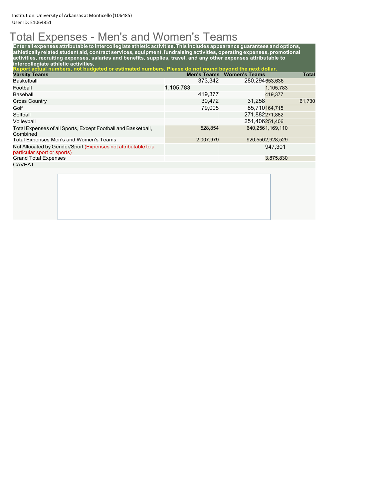## Total Expenses - Men's and Women's Teams

**Enter all expenses attributable to intercollegiate athletic activities. This includes appearance guarantees and options, athletically related student aid, contract services, equipment,fundraising activities, operating expenses, promotional activities, recruiting expenses, salaries and benefits, supplies, travel, and any other expenses attributable to intercollegiate athletic activities.**

| Report actual numbers, not budgeted or estimated numbers. Please do not round beyond the next dollar. |           |                                  |              |  |  |  |
|-------------------------------------------------------------------------------------------------------|-----------|----------------------------------|--------------|--|--|--|
| <b>Varsity Teams</b>                                                                                  |           | <b>Men's Teams Women's Teams</b> | <b>Total</b> |  |  |  |
| <b>Basketball</b>                                                                                     | 373.342   | 280,294653,636                   |              |  |  |  |
| Football                                                                                              | 1,105,783 | 1,105,783                        |              |  |  |  |
| Baseball                                                                                              | 419.377   | 419.377                          |              |  |  |  |
| <b>Cross Country</b>                                                                                  | 30.472    | 31.258                           | 61,730       |  |  |  |
| Golf                                                                                                  | 79.005    | 85,710164,715                    |              |  |  |  |
| Softball                                                                                              |           | 271,882271,882                   |              |  |  |  |
| Volleyball                                                                                            |           | 251,406251,406                   |              |  |  |  |
| Total Expenses of all Sports, Except Football and Basketball,<br>Combined                             | 528,854   | 640.2561.169.110                 |              |  |  |  |
| Total Expenses Men's and Women's Teams                                                                | 2,007,979 | 920,5502,928,529                 |              |  |  |  |
| Not Allocated by Gender/Sport (Expenses not attributable to a<br>particular sport or sports)          |           | 947.301                          |              |  |  |  |
| <b>Grand Total Expenses</b>                                                                           |           | 3,875,830                        |              |  |  |  |
| <b>CAVEAT</b>                                                                                         |           |                                  |              |  |  |  |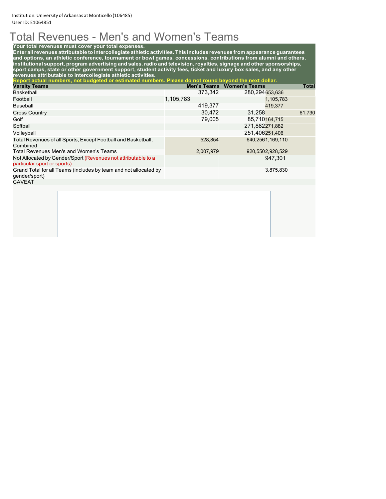## Total Revenues - Men's and Women's Teams

#### **Your total revenues must cover your total expenses.**

**Enter allrevenues attributable to intercollegiate athletic activities. This includes revenues from appearance guarantees and options, an athletic conference, tournament or bowl games, concessions, contributions from alumni and others, institutional support, program advertising and sales, radio and television,royalties, signage and other sponsorships, sport camps, state or other government support, student activity fees, ticket and luxury box sales, and any other revenues attributable to intercollegiate athletic activities.**

**Report actual numbers, not budgeted or estimated numbers. Please do not round beyond the next dollar.**

| <b>Varsity Teams</b>                                                                         |           | <b>Men's Teams Women's Teams</b> | <b>Total</b> |
|----------------------------------------------------------------------------------------------|-----------|----------------------------------|--------------|
| Basketball                                                                                   | 373,342   | 280,294653,636                   |              |
| Football                                                                                     | 1,105,783 | 1,105,783                        |              |
| Baseball                                                                                     | 419.377   | 419,377                          |              |
| <b>Cross Country</b>                                                                         | 30.472    | 31.258                           | 61,730       |
| Golf                                                                                         | 79,005    | 85,710164,715                    |              |
| Softball                                                                                     |           | 271,882271,882                   |              |
| Volleyball                                                                                   |           | 251.406251.406                   |              |
| Total Revenues of all Sports, Except Football and Basketball,<br>Combined                    | 528,854   | 640.2561.169.110                 |              |
| <b>Total Revenues Men's and Women's Teams</b>                                                | 2,007,979 | 920,5502,928,529                 |              |
| Not Allocated by Gender/Sport (Revenues not attributable to a<br>particular sport or sports) |           | 947.301                          |              |
| Grand Total for all Teams (includes by team and not allocated by<br>gender/sport)            |           | 3,875,830                        |              |
| <b>CAVEAT</b>                                                                                |           |                                  |              |
|                                                                                              |           |                                  |              |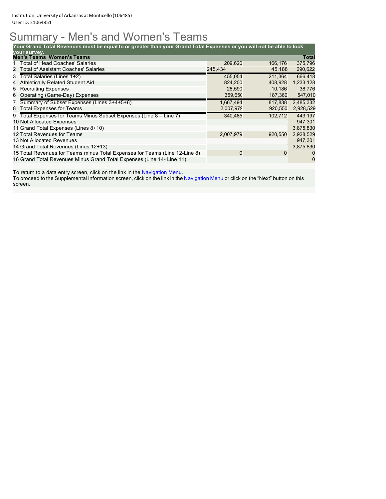## Summary - Men's and Women's Teams

| Your Grand Total Revenues must be equal to or greater than your Grand Total Expenses or you will not be able to lock |             |         |           |  |  |
|----------------------------------------------------------------------------------------------------------------------|-------------|---------|-----------|--|--|
| vour survey.                                                                                                         |             |         |           |  |  |
| <b>Men's Teams Women's Teams</b>                                                                                     |             |         | Total     |  |  |
| Total of Head Coaches' Salaries                                                                                      | 209,620     | 166,176 | 375,796   |  |  |
| 2 Total of Assistant Coaches' Salaries                                                                               | 245.434     | 45,188  | 290,622   |  |  |
| Total Salaries (Lines 1+2)<br>3                                                                                      | 455,054     | 211.364 | 666,418   |  |  |
| <b>Athletically Related Student Aid</b><br>4                                                                         | 824,200     | 408,928 | 1,233,128 |  |  |
| 5 Recruiting Expenses                                                                                                | 28,590      | 10,186  | 38,776    |  |  |
| Operating (Game-Day) Expenses<br>6                                                                                   | 359,650     | 187,360 | 547,010   |  |  |
| Summary of Subset Expenses (Lines 3+4+5+6)<br>$\overline{7}$                                                         | 1,667,494   | 817.838 | 2,485,332 |  |  |
| <b>Total Expenses for Teams</b><br>8                                                                                 | 2,007,979   | 920,550 | 2,928,529 |  |  |
| Total Expenses for Teams Minus Subset Expenses (Line 8 – Line 7)<br>9                                                | 340,485     | 102,712 | 443,197   |  |  |
| 10 Not Allocated Expenses                                                                                            |             |         | 947.301   |  |  |
| 11 Grand Total Expenses (Lines 8+10)                                                                                 |             |         | 3,875,830 |  |  |
| 12 Total Revenues for Teams                                                                                          | 2,007,979   | 920,550 | 2,928,529 |  |  |
| 13 Not Allocated Revenues                                                                                            |             |         | 947,301   |  |  |
| 14 Grand Total Revenues (Lines 12+13)                                                                                |             |         | 3,875,830 |  |  |
| 15 Total Revenues for Teams minus Total Expenses for Teams (Line 12-Line 8)                                          | $\mathbf 0$ | O       | $\Omega$  |  |  |
| 16 Grand Total Revenues Minus Grand Total Expenses (Line 14- Line 11)                                                |             |         | 0         |  |  |

To return to a data entry screen, click on the link in the <mark>Navigation Menu.</mark>

To proceed to the Supplemental Information screen, click on the link in the Navigation Menu or click on the "Next" button on this screen.